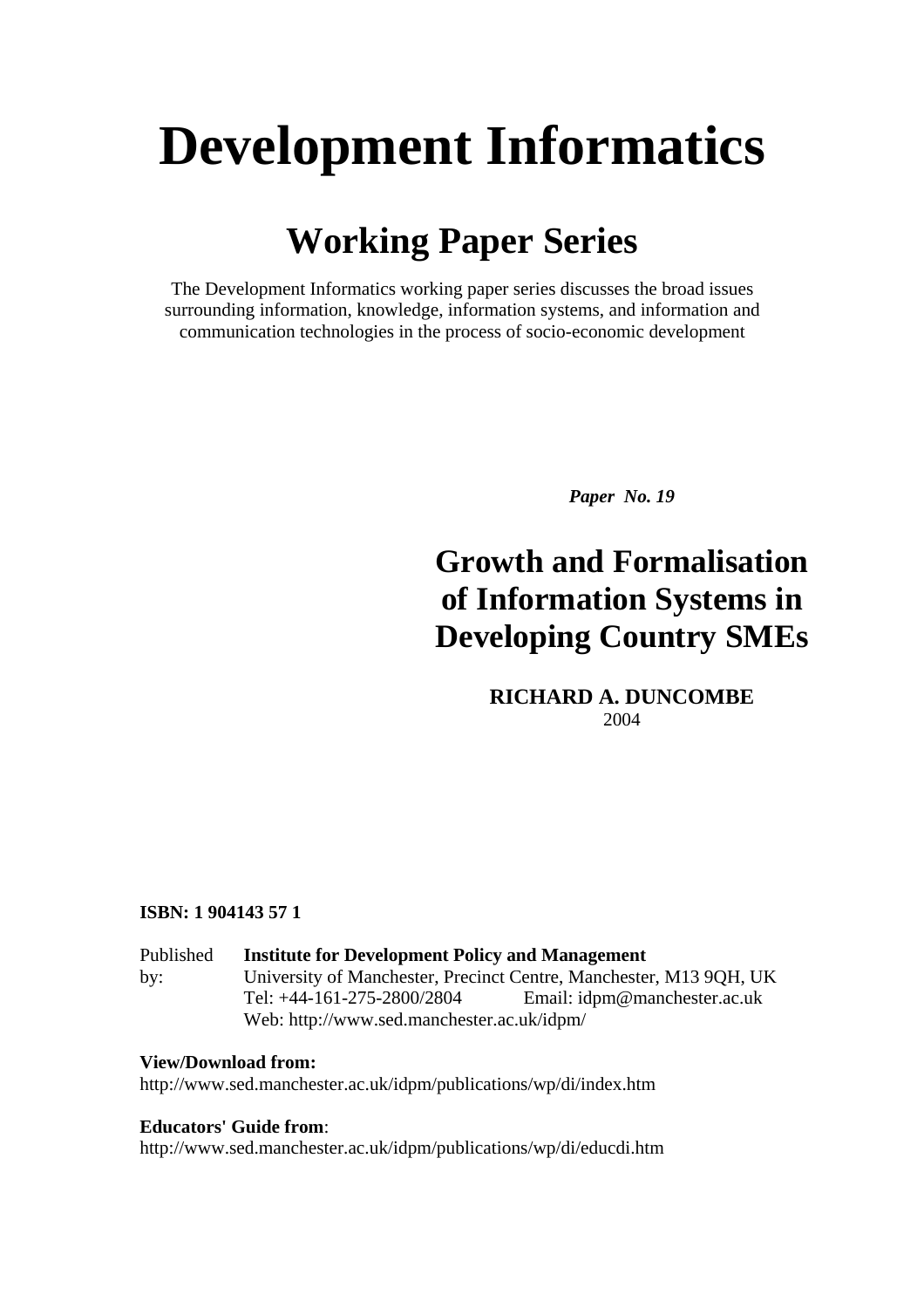# **Development Informatics**

# **Working Paper Series**

The Development Informatics working paper series discusses the broad issues surrounding information, knowledge, information systems, and information and communication technologies in the process of socio-economic development

*Paper No. 19* 

# **Growth and Formalisation of Information Systems in Developing Country SMEs**

**RICHARD A. DUNCOMBE**  2004

#### **ISBN: 1 904143 57 1**

| Published | <b>Institute for Development Policy and Management</b>             |                              |  |  |  |
|-----------|--------------------------------------------------------------------|------------------------------|--|--|--|
| by:       | University of Manchester, Precinct Centre, Manchester, M13 9QH, UK |                              |  |  |  |
|           | Tel: $+44-161-275-2800/2804$                                       | Email: idpm@manchester.ac.uk |  |  |  |
|           | Web: http://www.sed.manchester.ac.uk/idpm/                         |                              |  |  |  |

#### **View/Download from:**

http://www.sed.manchester.ac.uk/idpm/publications/wp/di/index.htm

#### **Educators' Guide from**:

http://www.sed.manchester.ac.uk/idpm/publications/wp/di/educdi.htm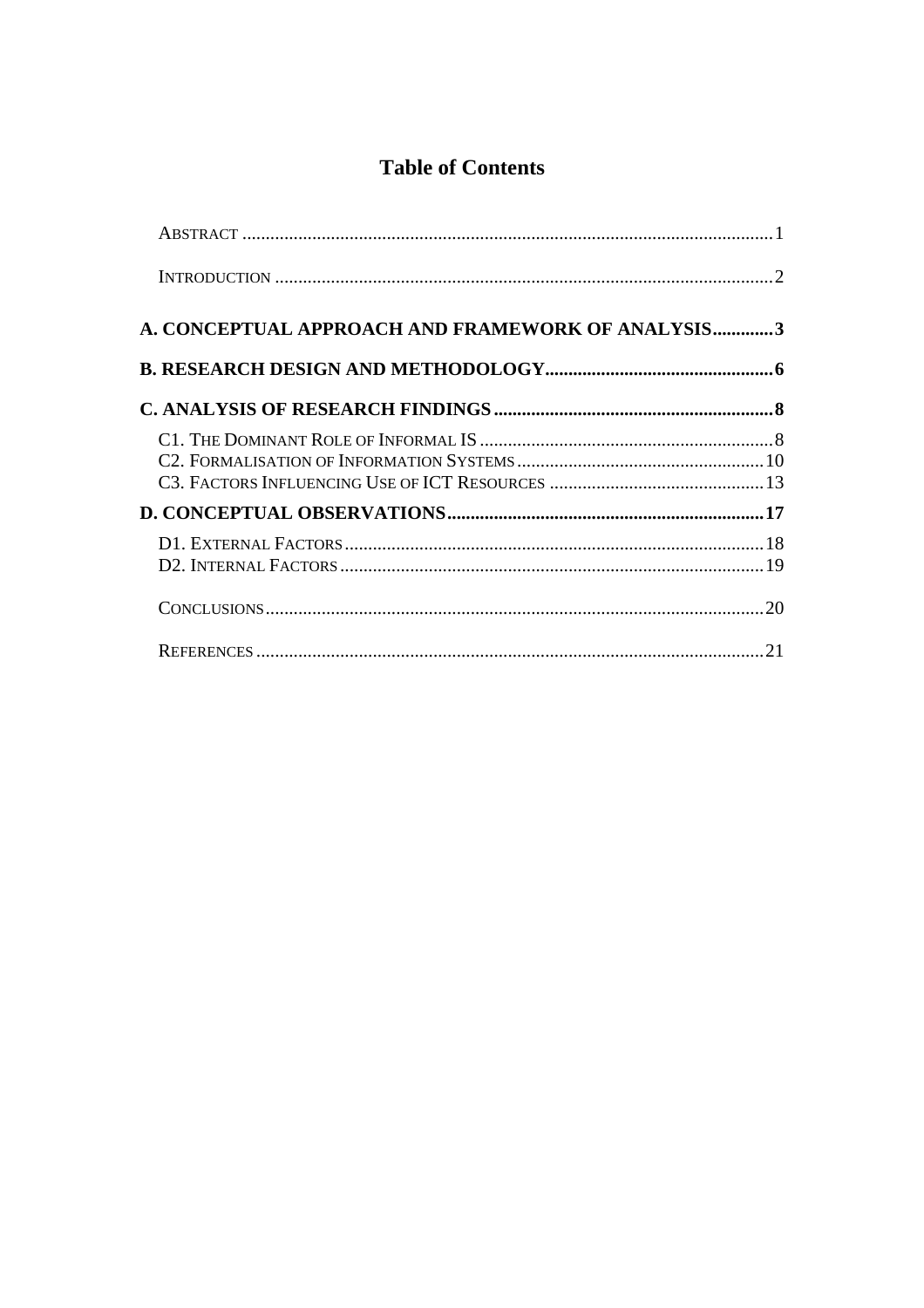### **Table of Contents**

| <b>A. CONCEPTUAL APPROACH AND FRAMEWORK OF ANALYSIS3</b> |  |
|----------------------------------------------------------|--|
|                                                          |  |
|                                                          |  |
|                                                          |  |
|                                                          |  |
|                                                          |  |
|                                                          |  |
|                                                          |  |
|                                                          |  |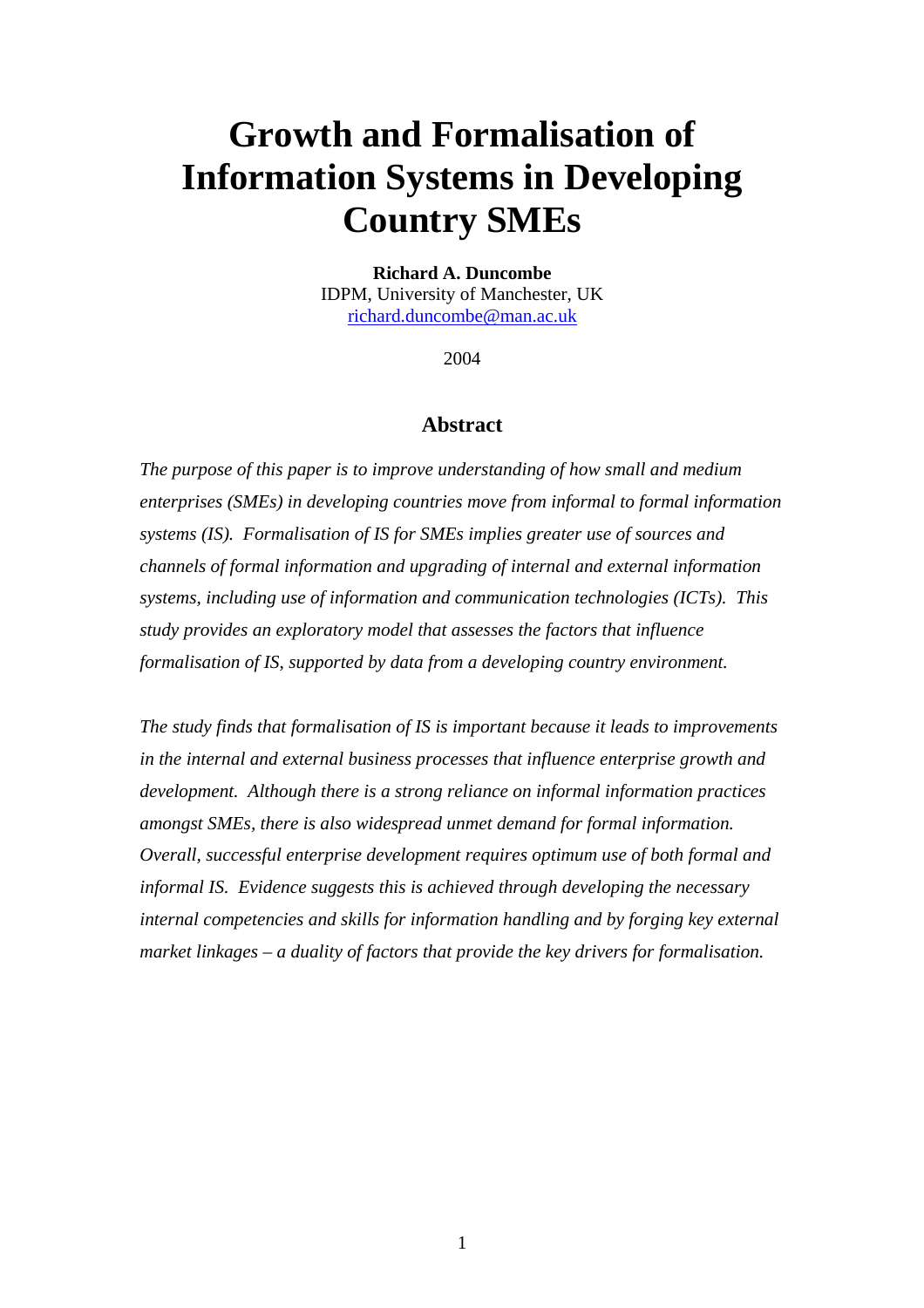# **Growth and Formalisation of Information Systems in Developing Country SMEs**

#### **Richard A. Duncombe**

IDPM, University of Manchester, UK richard.duncombe@man.ac.uk

2004

#### **Abstract**

*The purpose of this paper is to improve understanding of how small and medium enterprises (SMEs) in developing countries move from informal to formal information systems (IS). Formalisation of IS for SMEs implies greater use of sources and channels of formal information and upgrading of internal and external information systems, including use of information and communication technologies (ICTs). This study provides an exploratory model that assesses the factors that influence formalisation of IS, supported by data from a developing country environment.* 

*The study finds that formalisation of IS is important because it leads to improvements in the internal and external business processes that influence enterprise growth and development. Although there is a strong reliance on informal information practices amongst SMEs, there is also widespread unmet demand for formal information. Overall, successful enterprise development requires optimum use of both formal and informal IS. Evidence suggests this is achieved through developing the necessary internal competencies and skills for information handling and by forging key external market linkages – a duality of factors that provide the key drivers for formalisation.*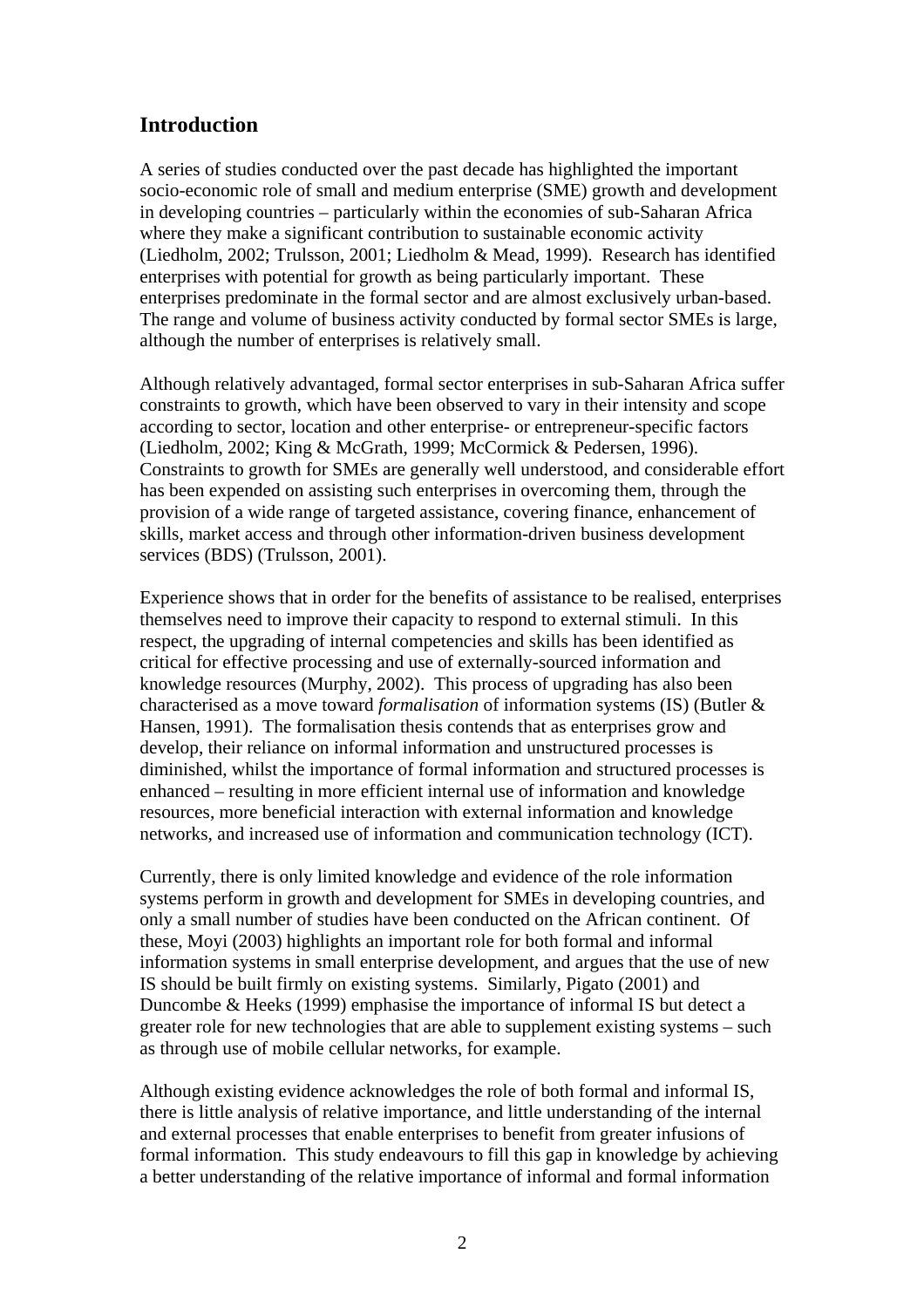#### **Introduction**

A series of studies conducted over the past decade has highlighted the important socio-economic role of small and medium enterprise (SME) growth and development in developing countries – particularly within the economies of sub-Saharan Africa where they make a significant contribution to sustainable economic activity (Liedholm, 2002; Trulsson, 2001; Liedholm & Mead, 1999). Research has identified enterprises with potential for growth as being particularly important. These enterprises predominate in the formal sector and are almost exclusively urban-based. The range and volume of business activity conducted by formal sector SMEs is large, although the number of enterprises is relatively small.

Although relatively advantaged, formal sector enterprises in sub-Saharan Africa suffer constraints to growth, which have been observed to vary in their intensity and scope according to sector, location and other enterprise- or entrepreneur-specific factors (Liedholm, 2002; King & McGrath, 1999; McCormick & Pedersen, 1996). Constraints to growth for SMEs are generally well understood, and considerable effort has been expended on assisting such enterprises in overcoming them, through the provision of a wide range of targeted assistance, covering finance, enhancement of skills, market access and through other information-driven business development services (BDS) (Trulsson, 2001).

Experience shows that in order for the benefits of assistance to be realised, enterprises themselves need to improve their capacity to respond to external stimuli. In this respect, the upgrading of internal competencies and skills has been identified as critical for effective processing and use of externally-sourced information and knowledge resources (Murphy, 2002). This process of upgrading has also been characterised as a move toward *formalisation* of information systems (IS) (Butler & Hansen, 1991). The formalisation thesis contends that as enterprises grow and develop, their reliance on informal information and unstructured processes is diminished, whilst the importance of formal information and structured processes is enhanced – resulting in more efficient internal use of information and knowledge resources, more beneficial interaction with external information and knowledge networks, and increased use of information and communication technology (ICT).

Currently, there is only limited knowledge and evidence of the role information systems perform in growth and development for SMEs in developing countries, and only a small number of studies have been conducted on the African continent. Of these, Moyi (2003) highlights an important role for both formal and informal information systems in small enterprise development, and argues that the use of new IS should be built firmly on existing systems. Similarly, Pigato (2001) and Duncombe & Heeks (1999) emphasise the importance of informal IS but detect a greater role for new technologies that are able to supplement existing systems – such as through use of mobile cellular networks, for example.

Although existing evidence acknowledges the role of both formal and informal IS, there is little analysis of relative importance, and little understanding of the internal and external processes that enable enterprises to benefit from greater infusions of formal information. This study endeavours to fill this gap in knowledge by achieving a better understanding of the relative importance of informal and formal information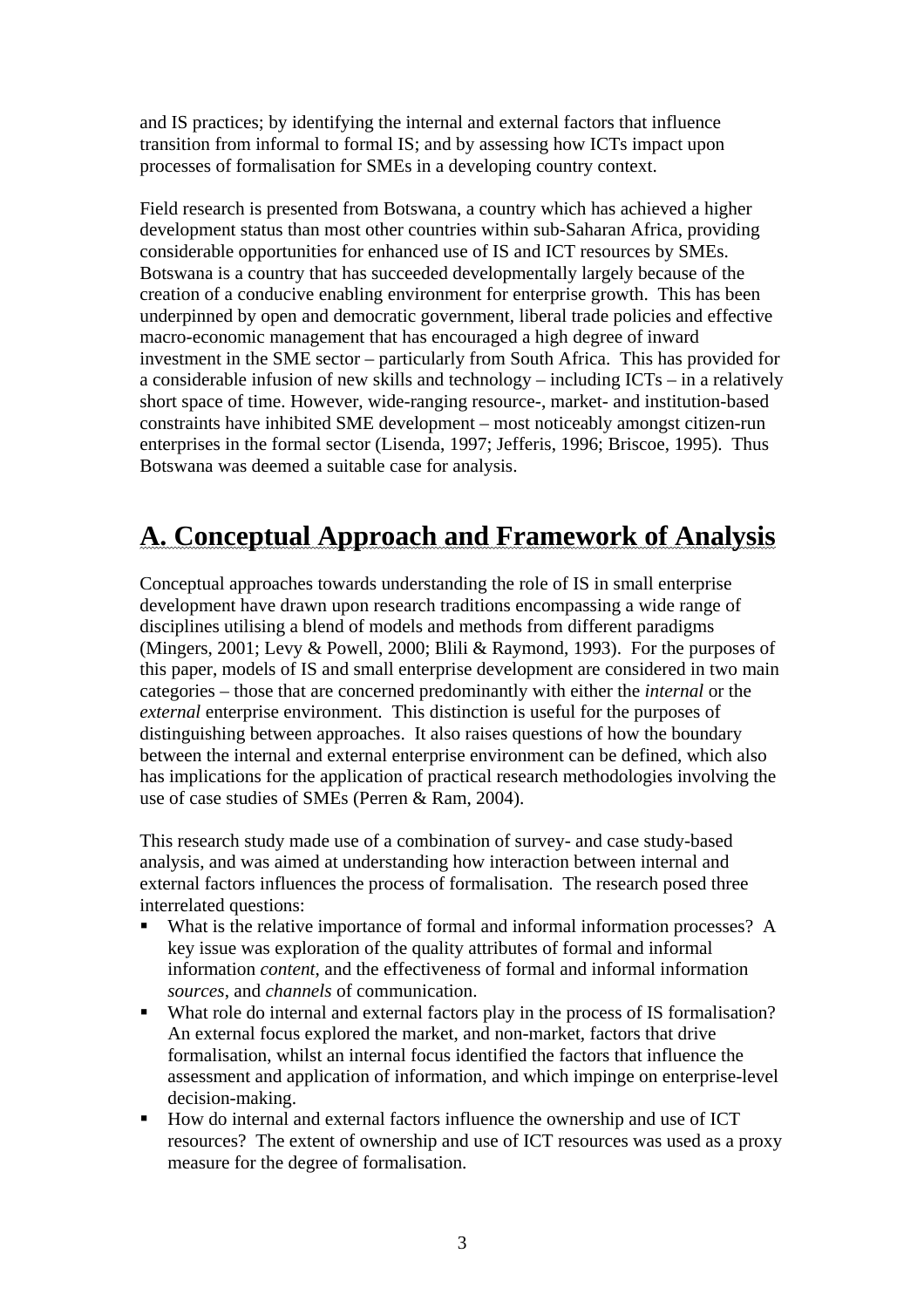and IS practices; by identifying the internal and external factors that influence transition from informal to formal IS; and by assessing how ICTs impact upon processes of formalisation for SMEs in a developing country context.

Field research is presented from Botswana, a country which has achieved a higher development status than most other countries within sub-Saharan Africa, providing considerable opportunities for enhanced use of IS and ICT resources by SMEs. Botswana is a country that has succeeded developmentally largely because of the creation of a conducive enabling environment for enterprise growth. This has been underpinned by open and democratic government, liberal trade policies and effective macro-economic management that has encouraged a high degree of inward investment in the SME sector – particularly from South Africa. This has provided for a considerable infusion of new skills and technology – including ICTs – in a relatively short space of time. However, wide-ranging resource-, market- and institution-based constraints have inhibited SME development – most noticeably amongst citizen-run enterprises in the formal sector (Lisenda, 1997; Jefferis, 1996; Briscoe, 1995). Thus Botswana was deemed a suitable case for analysis.

## **A. Conceptual Approach and Framework of Analysis**

Conceptual approaches towards understanding the role of IS in small enterprise development have drawn upon research traditions encompassing a wide range of disciplines utilising a blend of models and methods from different paradigms (Mingers, 2001; Levy & Powell, 2000; Blili & Raymond, 1993). For the purposes of this paper, models of IS and small enterprise development are considered in two main categories – those that are concerned predominantly with either the *internal* or the *external* enterprise environment. This distinction is useful for the purposes of distinguishing between approaches. It also raises questions of how the boundary between the internal and external enterprise environment can be defined, which also has implications for the application of practical research methodologies involving the use of case studies of SMEs (Perren & Ram, 2004).

This research study made use of a combination of survey- and case study-based analysis, and was aimed at understanding how interaction between internal and external factors influences the process of formalisation. The research posed three interrelated questions:

- What is the relative importance of formal and informal information processes? A key issue was exploration of the quality attributes of formal and informal information *content*, and the effectiveness of formal and informal information *sources*, and *channels* of communication.
- What role do internal and external factors play in the process of IS formalisation? An external focus explored the market, and non-market, factors that drive formalisation, whilst an internal focus identified the factors that influence the assessment and application of information, and which impinge on enterprise-level decision-making.
- How do internal and external factors influence the ownership and use of ICT resources? The extent of ownership and use of ICT resources was used as a proxy measure for the degree of formalisation.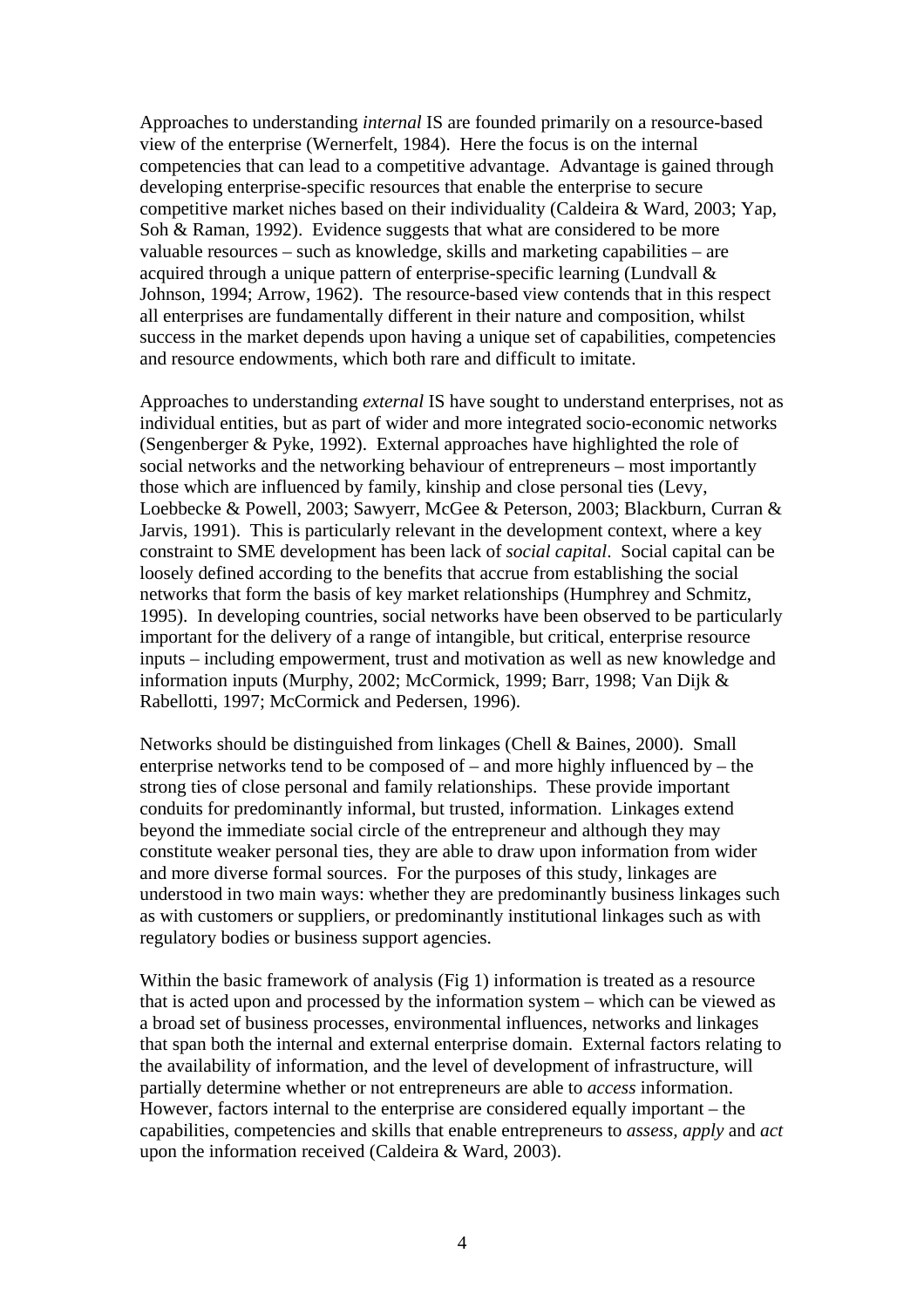Approaches to understanding *internal* IS are founded primarily on a resource-based view of the enterprise (Wernerfelt, 1984). Here the focus is on the internal competencies that can lead to a competitive advantage. Advantage is gained through developing enterprise-specific resources that enable the enterprise to secure competitive market niches based on their individuality (Caldeira & Ward, 2003; Yap, Soh & Raman, 1992). Evidence suggests that what are considered to be more valuable resources – such as knowledge, skills and marketing capabilities – are acquired through a unique pattern of enterprise-specific learning (Lundvall & Johnson, 1994; Arrow, 1962). The resource-based view contends that in this respect all enterprises are fundamentally different in their nature and composition, whilst success in the market depends upon having a unique set of capabilities, competencies and resource endowments, which both rare and difficult to imitate.

Approaches to understanding *external* IS have sought to understand enterprises, not as individual entities, but as part of wider and more integrated socio-economic networks (Sengenberger & Pyke, 1992). External approaches have highlighted the role of social networks and the networking behaviour of entrepreneurs – most importantly those which are influenced by family, kinship and close personal ties (Levy, Loebbecke & Powell, 2003; Sawyerr, McGee & Peterson, 2003; Blackburn, Curran & Jarvis, 1991). This is particularly relevant in the development context, where a key constraint to SME development has been lack of *social capital*. Social capital can be loosely defined according to the benefits that accrue from establishing the social networks that form the basis of key market relationships (Humphrey and Schmitz, 1995). In developing countries, social networks have been observed to be particularly important for the delivery of a range of intangible, but critical, enterprise resource inputs – including empowerment, trust and motivation as well as new knowledge and information inputs (Murphy, 2002; McCormick, 1999; Barr, 1998; Van Dijk & Rabellotti, 1997; McCormick and Pedersen, 1996).

Networks should be distinguished from linkages (Chell & Baines, 2000). Small enterprise networks tend to be composed of – and more highly influenced by – the strong ties of close personal and family relationships. These provide important conduits for predominantly informal, but trusted, information. Linkages extend beyond the immediate social circle of the entrepreneur and although they may constitute weaker personal ties, they are able to draw upon information from wider and more diverse formal sources. For the purposes of this study, linkages are understood in two main ways: whether they are predominantly business linkages such as with customers or suppliers, or predominantly institutional linkages such as with regulatory bodies or business support agencies.

Within the basic framework of analysis (Fig 1) information is treated as a resource that is acted upon and processed by the information system – which can be viewed as a broad set of business processes, environmental influences, networks and linkages that span both the internal and external enterprise domain. External factors relating to the availability of information, and the level of development of infrastructure, will partially determine whether or not entrepreneurs are able to *access* information. However, factors internal to the enterprise are considered equally important – the capabilities, competencies and skills that enable entrepreneurs to *assess, apply* and *act* upon the information received (Caldeira & Ward, 2003).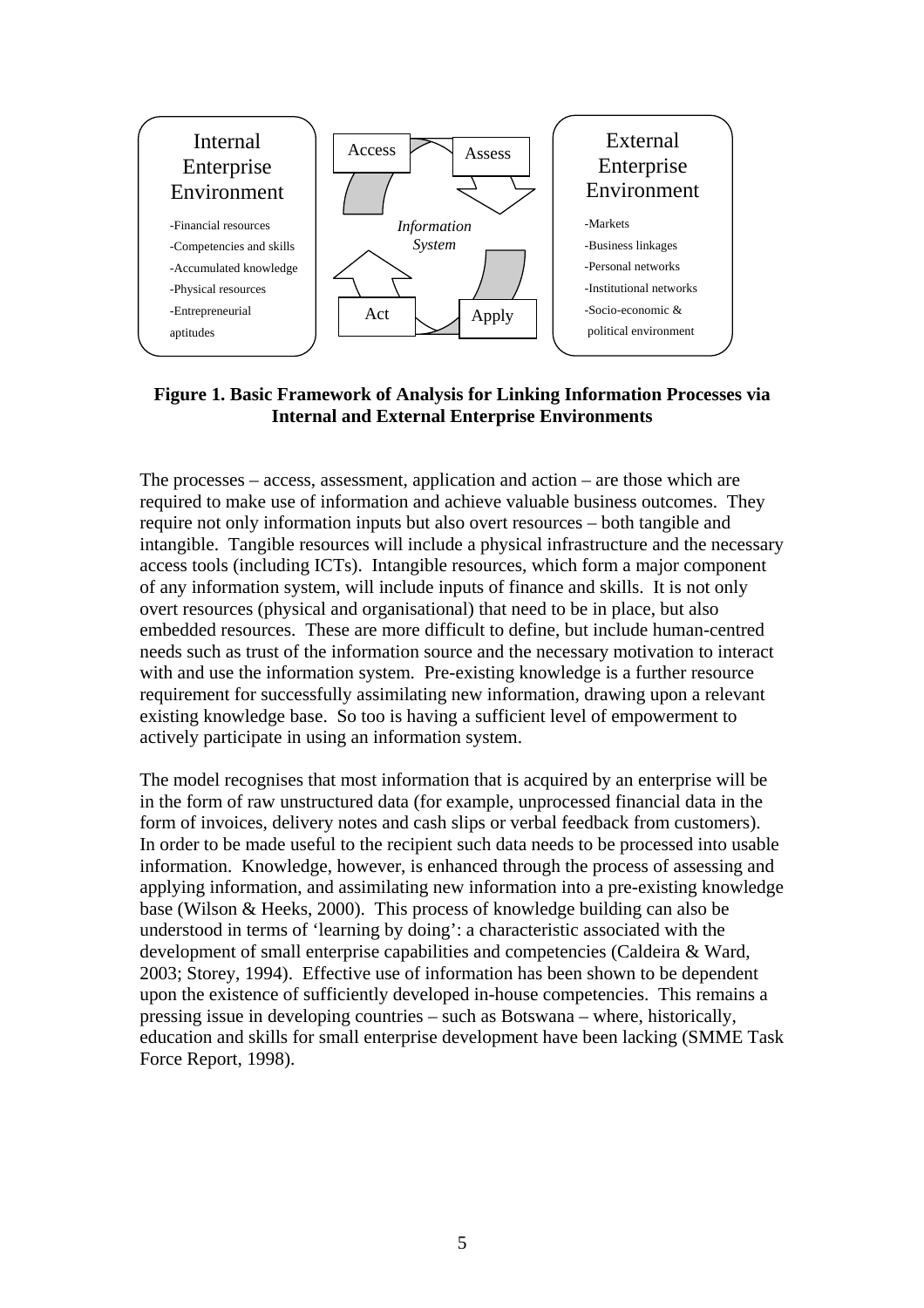

**Figure 1. Basic Framework of Analysis for Linking Information Processes via Internal and External Enterprise Environments** 

The processes – access, assessment, application and action – are those which are required to make use of information and achieve valuable business outcomes. They require not only information inputs but also overt resources – both tangible and intangible. Tangible resources will include a physical infrastructure and the necessary access tools (including ICTs). Intangible resources, which form a major component of any information system, will include inputs of finance and skills. It is not only overt resources (physical and organisational) that need to be in place, but also embedded resources. These are more difficult to define, but include human-centred needs such as trust of the information source and the necessary motivation to interact with and use the information system. Pre-existing knowledge is a further resource requirement for successfully assimilating new information, drawing upon a relevant existing knowledge base. So too is having a sufficient level of empowerment to actively participate in using an information system.

The model recognises that most information that is acquired by an enterprise will be in the form of raw unstructured data (for example, unprocessed financial data in the form of invoices, delivery notes and cash slips or verbal feedback from customers). In order to be made useful to the recipient such data needs to be processed into usable information. Knowledge, however, is enhanced through the process of assessing and applying information, and assimilating new information into a pre-existing knowledge base (Wilson & Heeks, 2000). This process of knowledge building can also be understood in terms of 'learning by doing': a characteristic associated with the development of small enterprise capabilities and competencies (Caldeira & Ward, 2003; Storey, 1994). Effective use of information has been shown to be dependent upon the existence of sufficiently developed in-house competencies. This remains a pressing issue in developing countries – such as Botswana – where, historically, education and skills for small enterprise development have been lacking (SMME Task Force Report, 1998).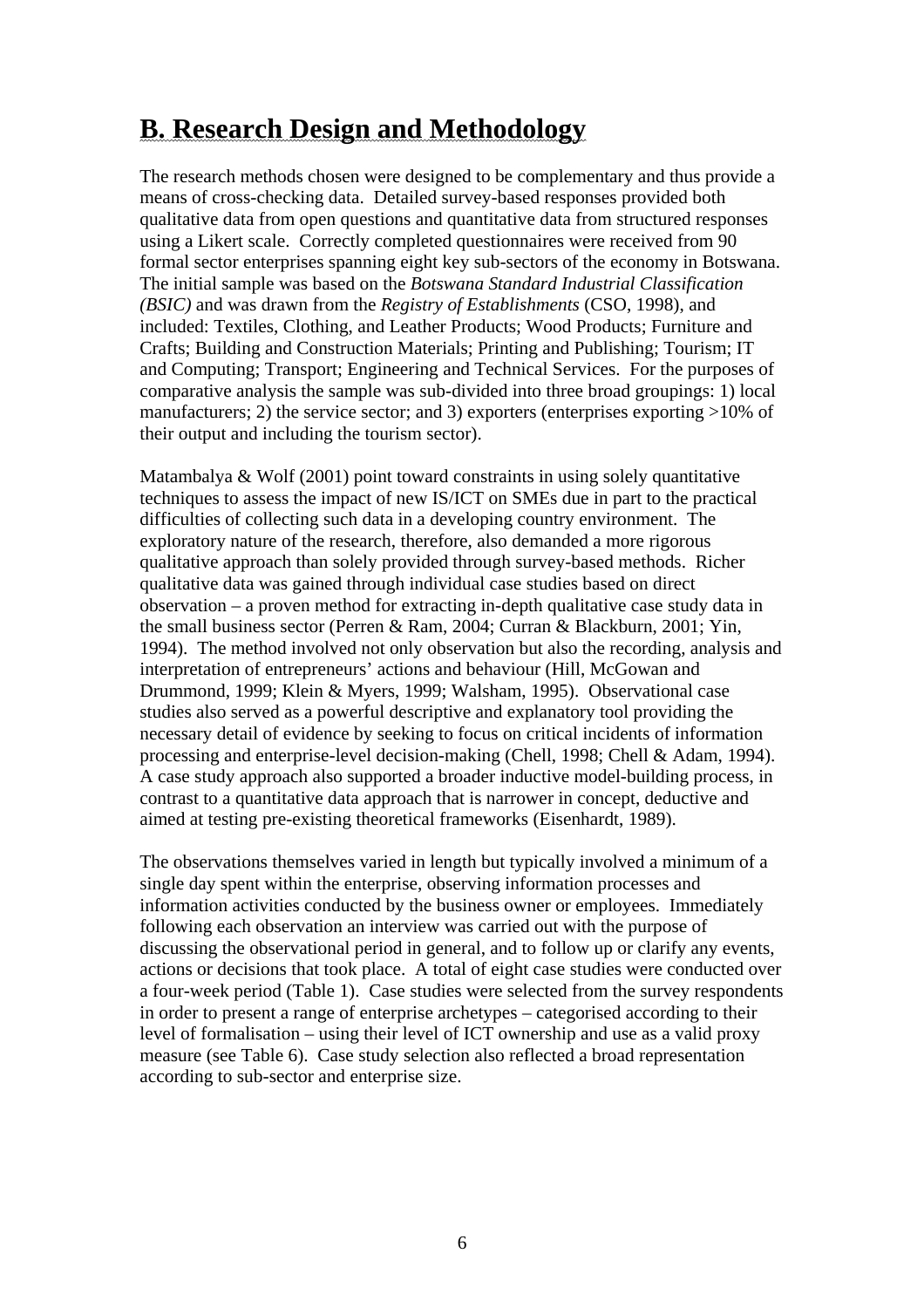## **B. Research Design and Methodology**

The research methods chosen were designed to be complementary and thus provide a means of cross-checking data. Detailed survey-based responses provided both qualitative data from open questions and quantitative data from structured responses using a Likert scale. Correctly completed questionnaires were received from 90 formal sector enterprises spanning eight key sub-sectors of the economy in Botswana. The initial sample was based on the *Botswana Standard Industrial Classification (BSIC)* and was drawn from the *Registry of Establishments* (CSO, 1998), and included: Textiles, Clothing, and Leather Products; Wood Products; Furniture and Crafts; Building and Construction Materials; Printing and Publishing; Tourism; IT and Computing; Transport; Engineering and Technical Services. For the purposes of comparative analysis the sample was sub-divided into three broad groupings: 1) local manufacturers; 2) the service sector; and 3) exporters (enterprises exporting >10% of their output and including the tourism sector).

Matambalya & Wolf (2001) point toward constraints in using solely quantitative techniques to assess the impact of new IS/ICT on SMEs due in part to the practical difficulties of collecting such data in a developing country environment. The exploratory nature of the research, therefore, also demanded a more rigorous qualitative approach than solely provided through survey-based methods. Richer qualitative data was gained through individual case studies based on direct observation – a proven method for extracting in-depth qualitative case study data in the small business sector (Perren & Ram, 2004; Curran & Blackburn, 2001; Yin, 1994). The method involved not only observation but also the recording, analysis and interpretation of entrepreneurs' actions and behaviour (Hill, McGowan and Drummond, 1999; Klein & Myers, 1999; Walsham, 1995). Observational case studies also served as a powerful descriptive and explanatory tool providing the necessary detail of evidence by seeking to focus on critical incidents of information processing and enterprise-level decision-making (Chell, 1998; Chell & Adam, 1994). A case study approach also supported a broader inductive model-building process, in contrast to a quantitative data approach that is narrower in concept, deductive and aimed at testing pre-existing theoretical frameworks (Eisenhardt, 1989).

The observations themselves varied in length but typically involved a minimum of a single day spent within the enterprise, observing information processes and information activities conducted by the business owner or employees. Immediately following each observation an interview was carried out with the purpose of discussing the observational period in general, and to follow up or clarify any events, actions or decisions that took place. A total of eight case studies were conducted over a four-week period (Table 1). Case studies were selected from the survey respondents in order to present a range of enterprise archetypes – categorised according to their level of formalisation – using their level of ICT ownership and use as a valid proxy measure (see Table 6). Case study selection also reflected a broad representation according to sub-sector and enterprise size.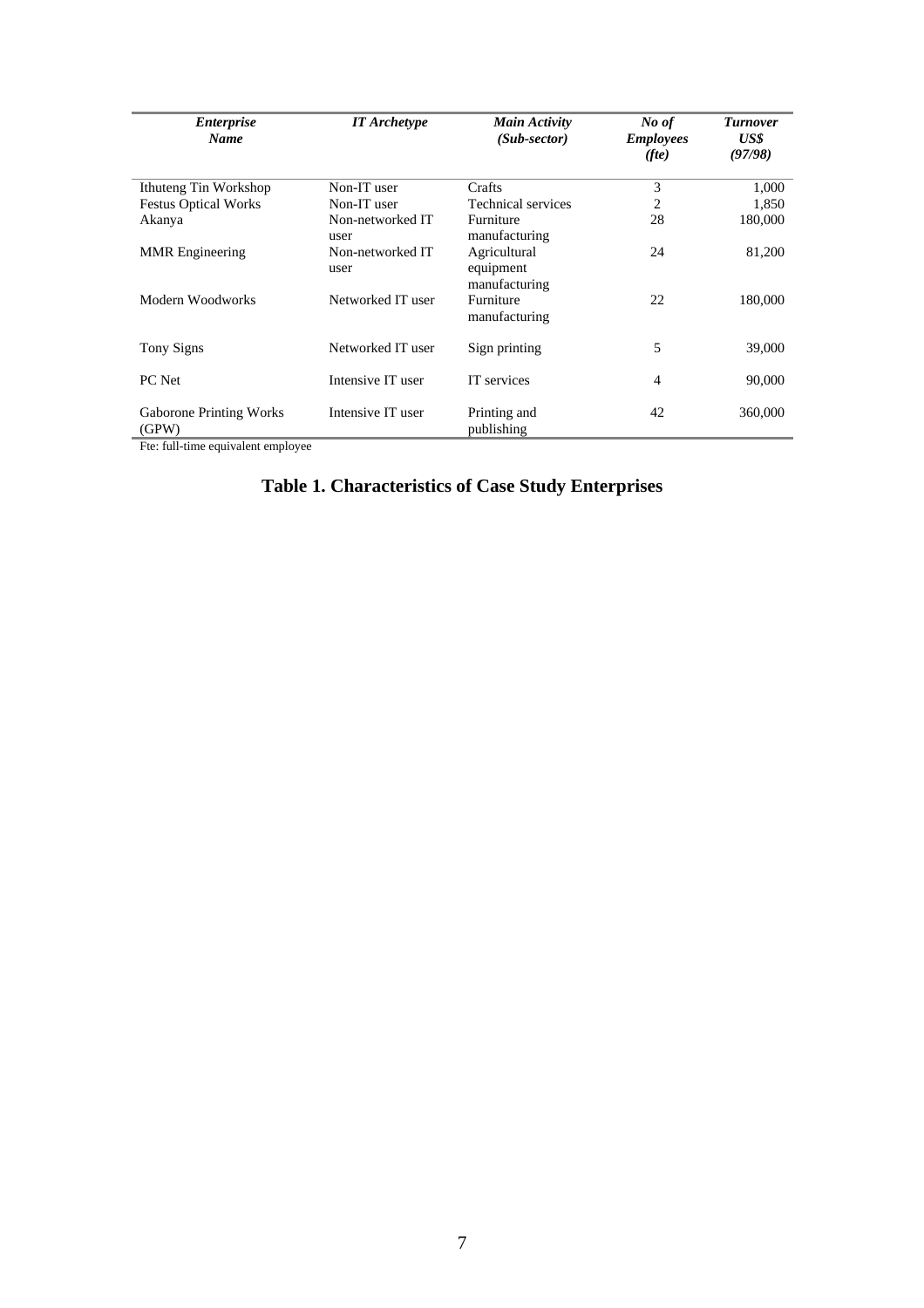| <i>Enterprise</i><br><b>Name</b>        | <b>IT</b> Archetype      | Main Activity<br>$(Sub\text{-}sector)$     | No of<br><b>Employees</b><br>(fte) | <b>Turnover</b><br>US\$<br>(97/98) |
|-----------------------------------------|--------------------------|--------------------------------------------|------------------------------------|------------------------------------|
| Ithuteng Tin Workshop                   | Non-IT user              | Crafts                                     | 3                                  | 1,000                              |
| <b>Festus Optical Works</b>             | Non-IT user              | Technical services                         | 2                                  | 1,850                              |
| Akanya                                  | Non-networked IT<br>user | Furniture<br>manufacturing                 | 28                                 | 180,000                            |
| <b>MMR</b> Engineering                  | Non-networked IT<br>user | Agricultural<br>equipment<br>manufacturing | 24                                 | 81,200                             |
| Modern Woodworks                        | Networked IT user        | Furniture<br>manufacturing                 | 22                                 | 180,000                            |
| <b>Tony Signs</b>                       | Networked IT user        | Sign printing                              | 5                                  | 39,000                             |
| PC Net                                  | Intensive IT user        | IT services                                | 4                                  | 90,000                             |
| <b>Gaborone Printing Works</b><br>(GPW) | Intensive IT user        | Printing and<br>publishing                 | 42                                 | 360,000                            |

Fte: full-time equivalent employee

#### **Table 1. Characteristics of Case Study Enterprises**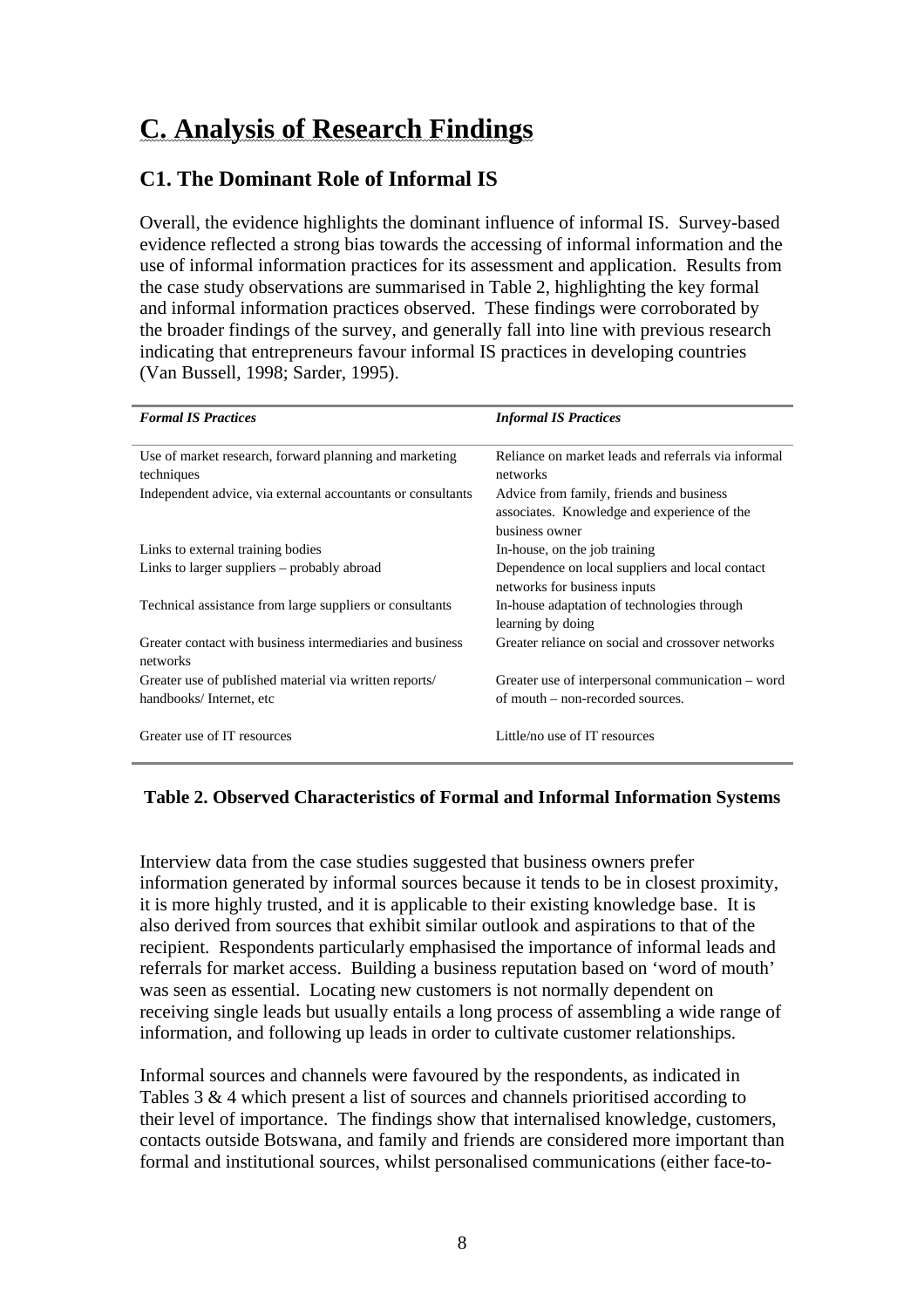# **C. Analysis of Research Findings**

#### **C1. The Dominant Role of Informal IS**

Overall, the evidence highlights the dominant influence of informal IS. Survey-based evidence reflected a strong bias towards the accessing of informal information and the use of informal information practices for its assessment and application. Results from the case study observations are summarised in Table 2, highlighting the key formal and informal information practices observed. These findings were corroborated by the broader findings of the survey, and generally fall into line with previous research indicating that entrepreneurs favour informal IS practices in developing countries (Van Bussell, 1998; Sarder, 1995).

| <b>Formal IS Practices</b>                                            | <b>Informal IS Practices</b>                                                                              |
|-----------------------------------------------------------------------|-----------------------------------------------------------------------------------------------------------|
| Use of market research, forward planning and marketing<br>techniques  | Reliance on market leads and referrals via informal<br>networks                                           |
| Independent advice, via external accountants or consultants           | Advice from family, friends and business<br>associates. Knowledge and experience of the<br>business owner |
| Links to external training bodies                                     | In-house, on the job training                                                                             |
| Links to larger suppliers – probably abroad                           | Dependence on local suppliers and local contact<br>networks for business inputs                           |
| Technical assistance from large suppliers or consultants              | In-house adaptation of technologies through<br>learning by doing                                          |
| Greater contact with business intermediaries and business<br>networks | Greater reliance on social and crossover networks                                                         |
| Greater use of published material via written reports/                | Greater use of interpersonal communication – word                                                         |
| handbooks/Internet, etc                                               | of mouth – non-recorded sources.                                                                          |
| Greater use of IT resources                                           | Little/no use of IT resources                                                                             |

#### **Table 2. Observed Characteristics of Formal and Informal Information Systems**

Interview data from the case studies suggested that business owners prefer information generated by informal sources because it tends to be in closest proximity, it is more highly trusted, and it is applicable to their existing knowledge base. It is also derived from sources that exhibit similar outlook and aspirations to that of the recipient. Respondents particularly emphasised the importance of informal leads and referrals for market access. Building a business reputation based on 'word of mouth' was seen as essential. Locating new customers is not normally dependent on receiving single leads but usually entails a long process of assembling a wide range of information, and following up leads in order to cultivate customer relationships.

Informal sources and channels were favoured by the respondents, as indicated in Tables 3 & 4 which present a list of sources and channels prioritised according to their level of importance. The findings show that internalised knowledge, customers, contacts outside Botswana, and family and friends are considered more important than formal and institutional sources, whilst personalised communications (either face-to-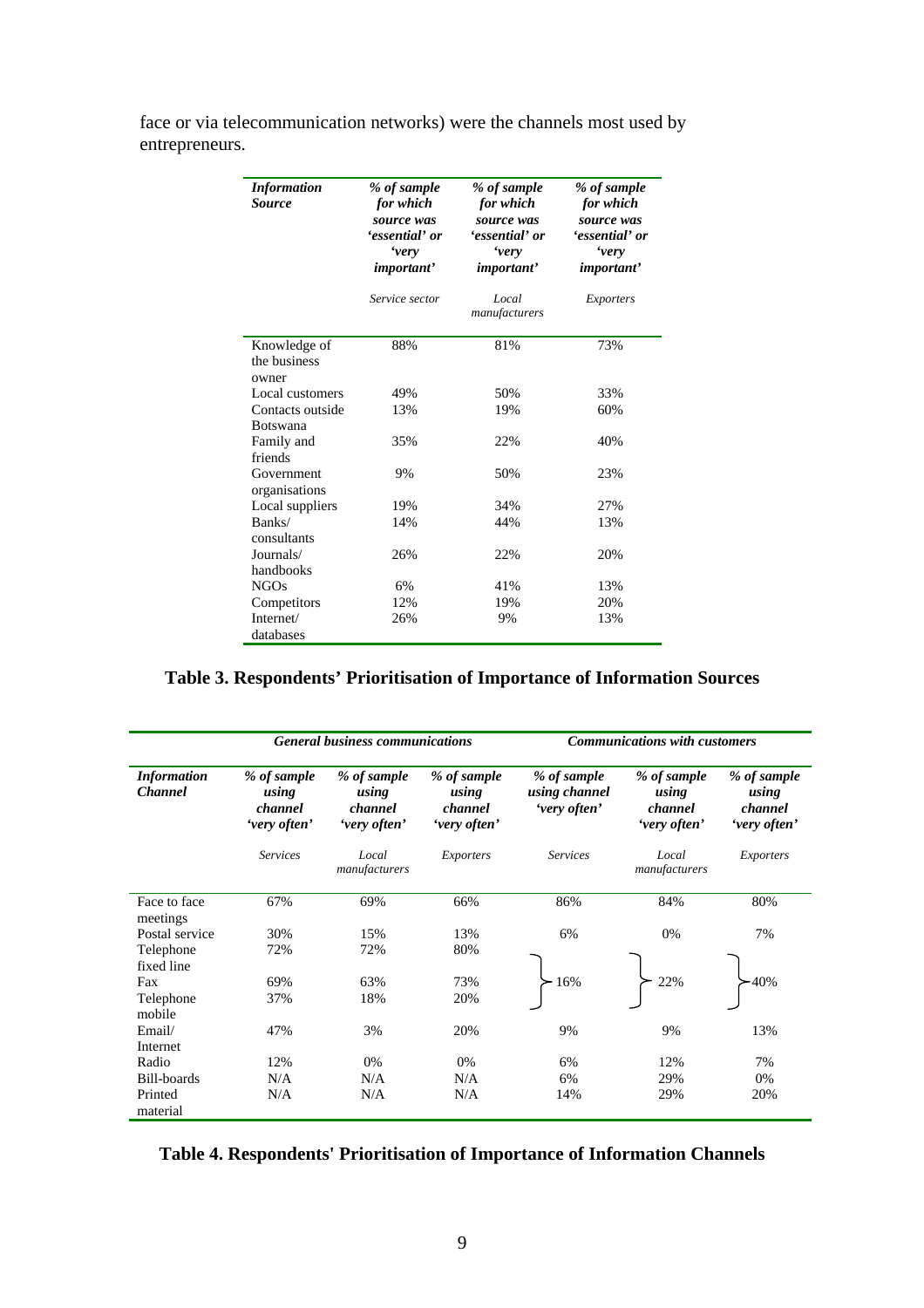| <b>Information</b><br><b>Source</b>   | % of sample<br>for which<br>source was<br>'essential' or<br><i>'very</i><br><i>important</i> ' | % of sample<br>for which<br>source was<br>'essential' or<br><i>'very</i><br><i>important</i> ' | % of sample<br>for which<br>source was<br>'essential' or<br><i>'very</i><br><i>important</i> ' |  |
|---------------------------------------|------------------------------------------------------------------------------------------------|------------------------------------------------------------------------------------------------|------------------------------------------------------------------------------------------------|--|
|                                       | Service sector                                                                                 | Local<br>manufacturers                                                                         | Exporters                                                                                      |  |
| Knowledge of<br>the business<br>owner | 88%                                                                                            | 81%                                                                                            | 73%                                                                                            |  |
| Local customers                       | 49%                                                                                            | 50%                                                                                            | 33%                                                                                            |  |
| Contacts outside                      | 13%                                                                                            | 19%                                                                                            | 60%                                                                                            |  |
| <b>Botswana</b>                       |                                                                                                |                                                                                                |                                                                                                |  |
| Family and<br>friends                 | 35%                                                                                            | 22%                                                                                            | 40%                                                                                            |  |
| Government<br>organisations           | 9%                                                                                             | 50%                                                                                            | 23%                                                                                            |  |
| Local suppliers                       | 19%                                                                                            | 34%                                                                                            | 27%                                                                                            |  |
| Banks/<br>consultants                 | 14%                                                                                            | 44%                                                                                            | 13%                                                                                            |  |
| Journals/<br>handbooks                | 26%                                                                                            | 22%                                                                                            | 20%                                                                                            |  |
| <b>NGOs</b>                           | 6%                                                                                             | 41%                                                                                            | 13%                                                                                            |  |
| Competitors                           | 12%                                                                                            | 19%                                                                                            | 20%                                                                                            |  |
| Internet/<br>databases                | 26%                                                                                            | 9%                                                                                             | 13%                                                                                            |  |

face or via telecommunication networks) were the channels most used by entrepreneurs.

#### **Table 3. Respondents' Prioritisation of Importance of Information Sources**

|                                      | <b>General business communications</b>          |                                                 |                                                 | <b>Communications with customers</b>         |                                                 |                                                 |
|--------------------------------------|-------------------------------------------------|-------------------------------------------------|-------------------------------------------------|----------------------------------------------|-------------------------------------------------|-------------------------------------------------|
| <b>Information</b><br><b>Channel</b> | % of sample<br>using<br>channel<br>'very often' | % of sample<br>using<br>channel<br>'very often' | % of sample<br>using<br>channel<br>'very often' | % of sample<br>using channel<br>'very often' | % of sample<br>using<br>channel<br>'very often' | % of sample<br>using<br>channel<br>'very often' |
|                                      | <b>Services</b>                                 | Local<br>manufacturers                          | Exporters                                       | <b>Services</b>                              | Local<br>manufacturers                          | Exporters                                       |
| Face to face<br>meetings             | 67%                                             | 69%                                             | 66%                                             | 86%                                          | 84%                                             | 80%                                             |
| Postal service                       | 30%                                             | 15%                                             | 13%                                             | 6%                                           | 0%                                              | 7%                                              |
| Telephone<br>fixed line              | 72%                                             | 72%                                             | 80%                                             |                                              |                                                 |                                                 |
| Fax                                  | 69%                                             | 63%                                             | 73%                                             | 16%                                          | 22%                                             | $-40%$                                          |
| Telephone<br>mobile                  | 37%                                             | 18%                                             | 20%                                             |                                              |                                                 |                                                 |
| Email/<br>Internet                   | 47%                                             | 3%                                              | 20%                                             | 9%                                           | 9%                                              | 13%                                             |
| Radio                                | 12%                                             | 0%                                              | 0%                                              | 6%                                           | 12%                                             | 7%                                              |
| Bill-boards                          | N/A                                             | N/A                                             | N/A                                             | 6%                                           | 29%                                             | 0%                                              |
| Printed<br>material                  | N/A                                             | N/A                                             | N/A                                             | 14%                                          | 29%                                             | 20%                                             |

**Table 4. Respondents' Prioritisation of Importance of Information Channels**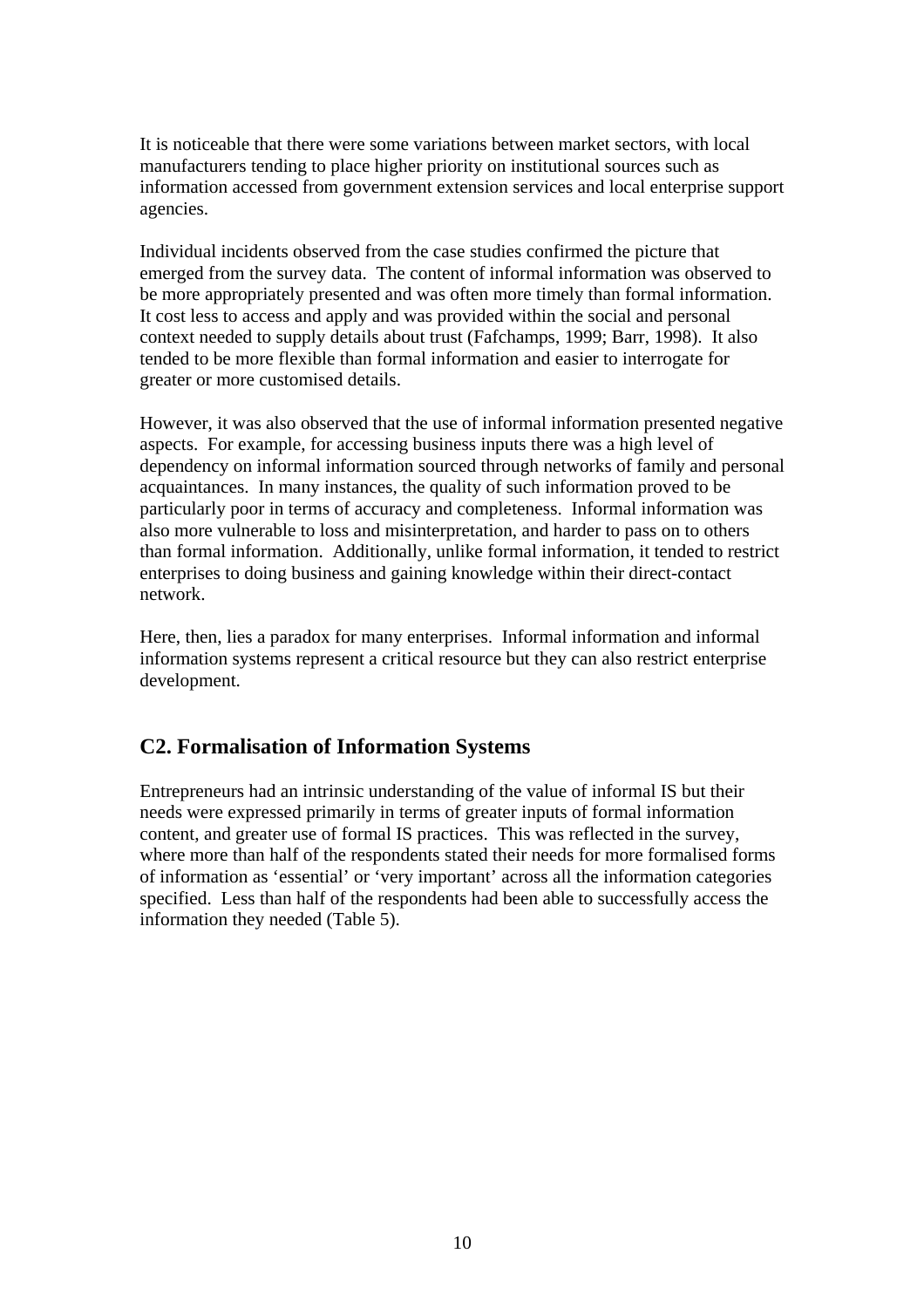It is noticeable that there were some variations between market sectors, with local manufacturers tending to place higher priority on institutional sources such as information accessed from government extension services and local enterprise support agencies.

Individual incidents observed from the case studies confirmed the picture that emerged from the survey data. The content of informal information was observed to be more appropriately presented and was often more timely than formal information. It cost less to access and apply and was provided within the social and personal context needed to supply details about trust (Fafchamps, 1999; Barr, 1998). It also tended to be more flexible than formal information and easier to interrogate for greater or more customised details.

However, it was also observed that the use of informal information presented negative aspects. For example, for accessing business inputs there was a high level of dependency on informal information sourced through networks of family and personal acquaintances. In many instances, the quality of such information proved to be particularly poor in terms of accuracy and completeness. Informal information was also more vulnerable to loss and misinterpretation, and harder to pass on to others than formal information. Additionally, unlike formal information, it tended to restrict enterprises to doing business and gaining knowledge within their direct-contact network.

Here, then, lies a paradox for many enterprises. Informal information and informal information systems represent a critical resource but they can also restrict enterprise development.

#### **C2. Formalisation of Information Systems**

Entrepreneurs had an intrinsic understanding of the value of informal IS but their needs were expressed primarily in terms of greater inputs of formal information content, and greater use of formal IS practices. This was reflected in the survey, where more than half of the respondents stated their needs for more formalised forms of information as 'essential' or 'very important' across all the information categories specified. Less than half of the respondents had been able to successfully access the information they needed (Table 5).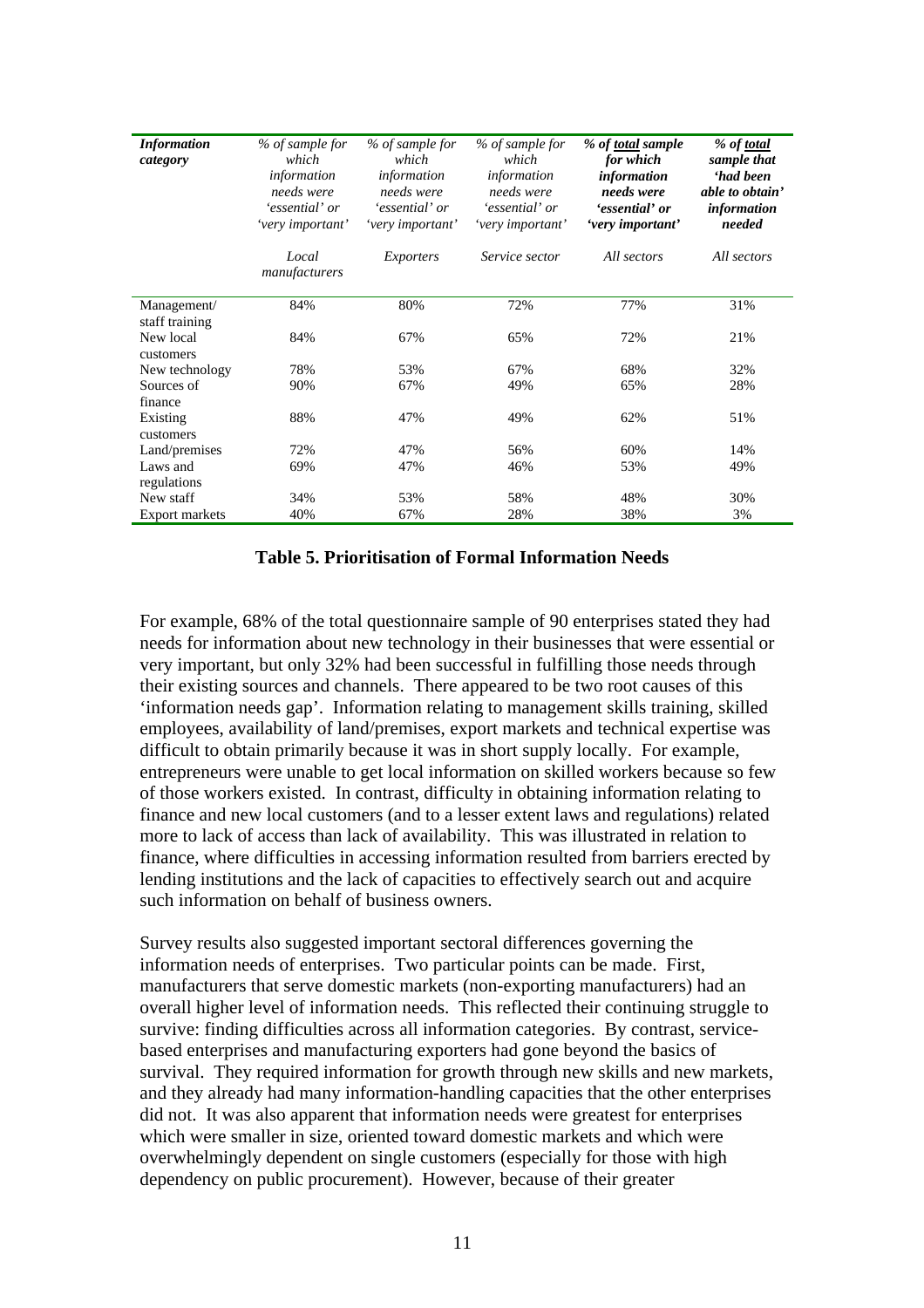| <b>Information</b><br>category | % of sample for<br>which<br>information<br>needs were<br>'essential' or<br>'very important' | % of sample for<br>which<br>information<br>needs were<br>'essential' or<br>'very important' | % of sample for<br>which<br>information<br>needs were<br>'essential' or<br>'very important' | % of total sample<br>for which<br>information<br>needs were<br>'essential' or<br>'very important' | % of <u>total</u><br>sample that<br><i><b>had been</b></i><br>able to obtain'<br><i>information</i><br>needed |
|--------------------------------|---------------------------------------------------------------------------------------------|---------------------------------------------------------------------------------------------|---------------------------------------------------------------------------------------------|---------------------------------------------------------------------------------------------------|---------------------------------------------------------------------------------------------------------------|
|                                | Local<br>manufacturers                                                                      | <b>Exporters</b>                                                                            | Service sector                                                                              | All sectors                                                                                       | All sectors                                                                                                   |
| Management/                    | 84%                                                                                         | 80%                                                                                         | 72%                                                                                         | 77%                                                                                               | 31%                                                                                                           |
| staff training                 |                                                                                             |                                                                                             |                                                                                             |                                                                                                   |                                                                                                               |
| New local                      | 84%                                                                                         | 67%                                                                                         | 65%                                                                                         | 72%                                                                                               | 21%                                                                                                           |
| customers                      |                                                                                             |                                                                                             |                                                                                             |                                                                                                   |                                                                                                               |
| New technology                 | 78%                                                                                         | 53%                                                                                         | 67%                                                                                         | 68%                                                                                               | 32%                                                                                                           |
| Sources of                     | 90%                                                                                         | 67%                                                                                         | 49%                                                                                         | 65%                                                                                               | 28%                                                                                                           |
| finance                        |                                                                                             |                                                                                             |                                                                                             |                                                                                                   |                                                                                                               |
| Existing<br>customers          | 88%                                                                                         | 47%                                                                                         | 49%                                                                                         | 62%                                                                                               | 51%                                                                                                           |
| Land/premises                  | 72%                                                                                         | 47%                                                                                         | 56%                                                                                         | 60%                                                                                               | 14%                                                                                                           |
| Laws and                       | 69%                                                                                         | 47%                                                                                         | 46%                                                                                         | 53%                                                                                               | 49%                                                                                                           |
| regulations                    |                                                                                             |                                                                                             |                                                                                             |                                                                                                   |                                                                                                               |
| New staff                      | 34%                                                                                         | 53%                                                                                         | 58%                                                                                         | 48%                                                                                               | 30%                                                                                                           |
| <b>Export markets</b>          | 40%                                                                                         | 67%                                                                                         | 28%                                                                                         | 38%                                                                                               | 3%                                                                                                            |

#### **Table 5. Prioritisation of Formal Information Needs**

For example, 68% of the total questionnaire sample of 90 enterprises stated they had needs for information about new technology in their businesses that were essential or very important, but only 32% had been successful in fulfilling those needs through their existing sources and channels. There appeared to be two root causes of this 'information needs gap'. Information relating to management skills training, skilled employees, availability of land/premises, export markets and technical expertise was difficult to obtain primarily because it was in short supply locally. For example, entrepreneurs were unable to get local information on skilled workers because so few of those workers existed. In contrast, difficulty in obtaining information relating to finance and new local customers (and to a lesser extent laws and regulations) related more to lack of access than lack of availability. This was illustrated in relation to finance, where difficulties in accessing information resulted from barriers erected by lending institutions and the lack of capacities to effectively search out and acquire such information on behalf of business owners.

Survey results also suggested important sectoral differences governing the information needs of enterprises. Two particular points can be made. First, manufacturers that serve domestic markets (non-exporting manufacturers) had an overall higher level of information needs. This reflected their continuing struggle to survive: finding difficulties across all information categories. By contrast, servicebased enterprises and manufacturing exporters had gone beyond the basics of survival. They required information for growth through new skills and new markets, and they already had many information-handling capacities that the other enterprises did not. It was also apparent that information needs were greatest for enterprises which were smaller in size, oriented toward domestic markets and which were overwhelmingly dependent on single customers (especially for those with high dependency on public procurement). However, because of their greater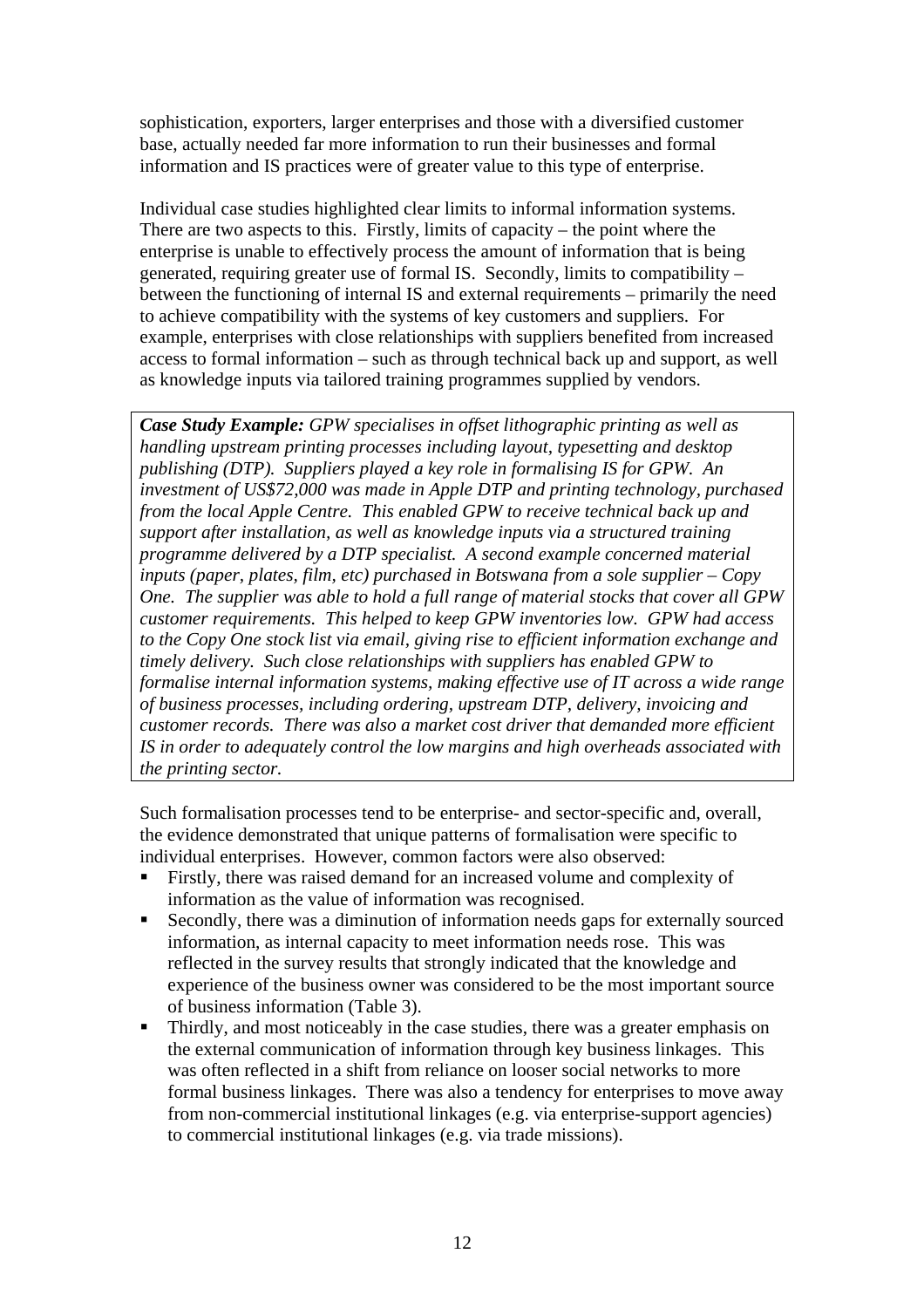sophistication, exporters, larger enterprises and those with a diversified customer base, actually needed far more information to run their businesses and formal information and IS practices were of greater value to this type of enterprise.

Individual case studies highlighted clear limits to informal information systems. There are two aspects to this. Firstly, limits of capacity – the point where the enterprise is unable to effectively process the amount of information that is being generated, requiring greater use of formal IS. Secondly, limits to compatibility – between the functioning of internal IS and external requirements – primarily the need to achieve compatibility with the systems of key customers and suppliers. For example, enterprises with close relationships with suppliers benefited from increased access to formal information – such as through technical back up and support, as well as knowledge inputs via tailored training programmes supplied by vendors.

*Case Study Example: GPW specialises in offset lithographic printing as well as handling upstream printing processes including layout, typesetting and desktop publishing (DTP). Suppliers played a key role in formalising IS for GPW. An investment of US\$72,000 was made in Apple DTP and printing technology, purchased from the local Apple Centre. This enabled GPW to receive technical back up and support after installation, as well as knowledge inputs via a structured training programme delivered by a DTP specialist. A second example concerned material inputs (paper, plates, film, etc) purchased in Botswana from a sole supplier – Copy One. The supplier was able to hold a full range of material stocks that cover all GPW customer requirements. This helped to keep GPW inventories low. GPW had access to the Copy One stock list via email, giving rise to efficient information exchange and timely delivery. Such close relationships with suppliers has enabled GPW to formalise internal information systems, making effective use of IT across a wide range of business processes, including ordering, upstream DTP, delivery, invoicing and customer records. There was also a market cost driver that demanded more efficient IS in order to adequately control the low margins and high overheads associated with the printing sector.* 

Such formalisation processes tend to be enterprise- and sector-specific and, overall, the evidence demonstrated that unique patterns of formalisation were specific to individual enterprises. However, common factors were also observed:

- Firstly, there was raised demand for an increased volume and complexity of information as the value of information was recognised.
- Secondly, there was a diminution of information needs gaps for externally sourced information, as internal capacity to meet information needs rose. This was reflected in the survey results that strongly indicated that the knowledge and experience of the business owner was considered to be the most important source of business information (Table 3).
- Thirdly, and most noticeably in the case studies, there was a greater emphasis on the external communication of information through key business linkages. This was often reflected in a shift from reliance on looser social networks to more formal business linkages. There was also a tendency for enterprises to move away from non-commercial institutional linkages (e.g. via enterprise-support agencies) to commercial institutional linkages (e.g. via trade missions).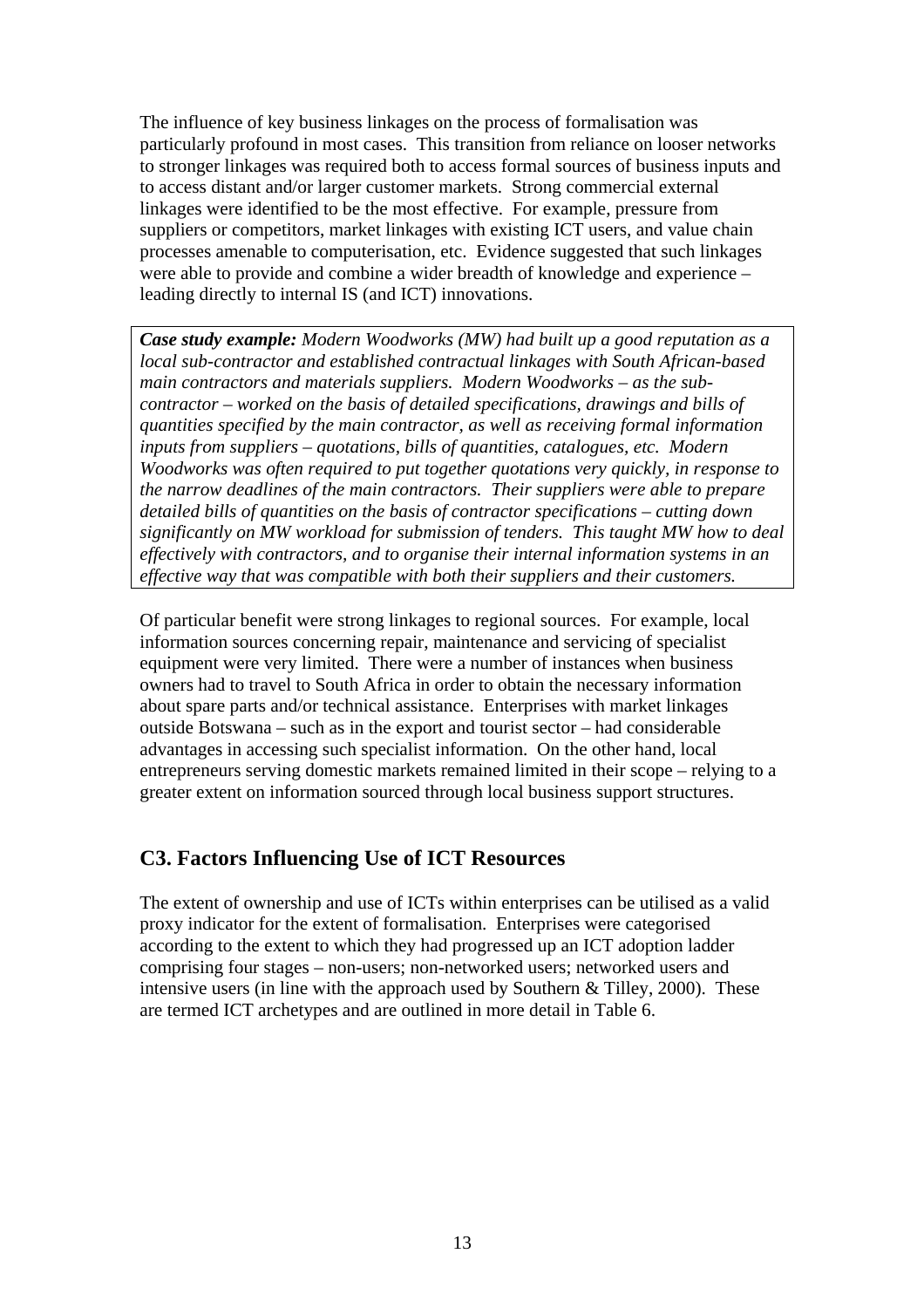The influence of key business linkages on the process of formalisation was particularly profound in most cases. This transition from reliance on looser networks to stronger linkages was required both to access formal sources of business inputs and to access distant and/or larger customer markets. Strong commercial external linkages were identified to be the most effective. For example, pressure from suppliers or competitors, market linkages with existing ICT users, and value chain processes amenable to computerisation, etc. Evidence suggested that such linkages were able to provide and combine a wider breadth of knowledge and experience – leading directly to internal IS (and ICT) innovations.

*Case study example: Modern Woodworks (MW) had built up a good reputation as a local sub-contractor and established contractual linkages with South African-based main contractors and materials suppliers. Modern Woodworks – as the subcontractor – worked on the basis of detailed specifications, drawings and bills of quantities specified by the main contractor, as well as receiving formal information inputs from suppliers – quotations, bills of quantities, catalogues, etc. Modern Woodworks was often required to put together quotations very quickly, in response to the narrow deadlines of the main contractors. Their suppliers were able to prepare detailed bills of quantities on the basis of contractor specifications – cutting down significantly on MW workload for submission of tenders. This taught MW how to deal effectively with contractors, and to organise their internal information systems in an effective way that was compatible with both their suppliers and their customers.* 

Of particular benefit were strong linkages to regional sources. For example, local information sources concerning repair, maintenance and servicing of specialist equipment were very limited. There were a number of instances when business owners had to travel to South Africa in order to obtain the necessary information about spare parts and/or technical assistance. Enterprises with market linkages outside Botswana – such as in the export and tourist sector – had considerable advantages in accessing such specialist information. On the other hand, local entrepreneurs serving domestic markets remained limited in their scope – relying to a greater extent on information sourced through local business support structures.

#### **C3. Factors Influencing Use of ICT Resources**

The extent of ownership and use of ICTs within enterprises can be utilised as a valid proxy indicator for the extent of formalisation. Enterprises were categorised according to the extent to which they had progressed up an ICT adoption ladder comprising four stages – non-users; non-networked users; networked users and intensive users (in line with the approach used by Southern & Tilley, 2000). These are termed ICT archetypes and are outlined in more detail in Table 6.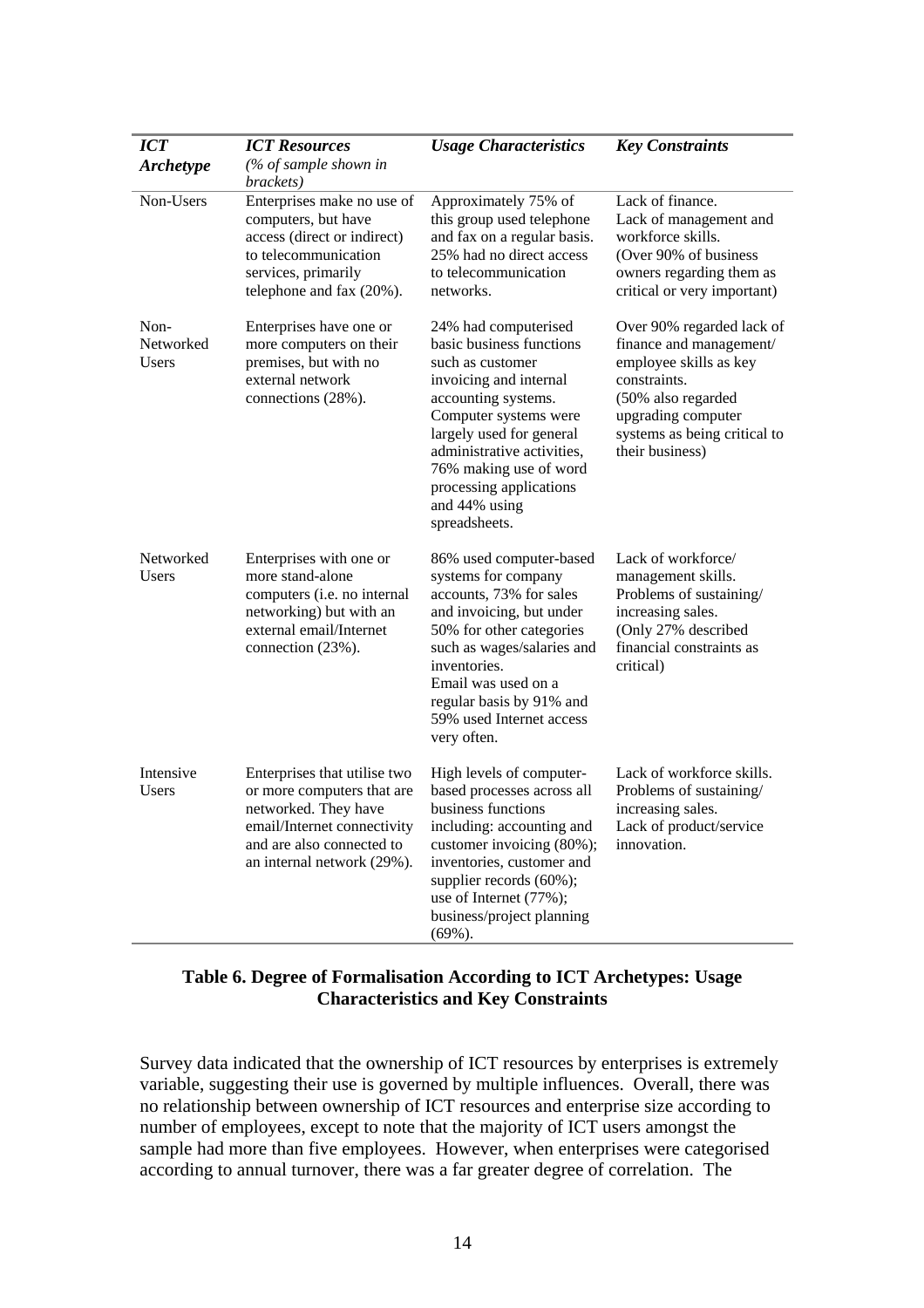| <b>ICT</b>                        | <b>ICT Resources</b>                                                                                                                                                         | <b>Usage Characteristics</b>                                                                                                                                                                                                                                                                    | <b>Key Constraints</b>                                                                                                                                                                        |
|-----------------------------------|------------------------------------------------------------------------------------------------------------------------------------------------------------------------------|-------------------------------------------------------------------------------------------------------------------------------------------------------------------------------------------------------------------------------------------------------------------------------------------------|-----------------------------------------------------------------------------------------------------------------------------------------------------------------------------------------------|
| <b>Archetype</b>                  | (% of sample shown in<br>brackets)                                                                                                                                           |                                                                                                                                                                                                                                                                                                 |                                                                                                                                                                                               |
| Non-Users                         | Enterprises make no use of<br>computers, but have<br>access (direct or indirect)<br>to telecommunication<br>services, primarily<br>telephone and fax (20%).                  | Approximately 75% of<br>this group used telephone<br>and fax on a regular basis.<br>25% had no direct access<br>to telecommunication<br>networks.                                                                                                                                               | Lack of finance.<br>Lack of management and<br>workforce skills.<br>(Over 90% of business<br>owners regarding them as<br>critical or very important)                                           |
| Non-<br>Networked<br><b>Users</b> | Enterprises have one or<br>more computers on their<br>premises, but with no<br>external network<br>connections (28%).                                                        | 24% had computerised<br>basic business functions<br>such as customer<br>invoicing and internal<br>accounting systems.<br>Computer systems were<br>largely used for general<br>administrative activities,<br>76% making use of word<br>processing applications<br>and 44% using<br>spreadsheets. | Over 90% regarded lack of<br>finance and management/<br>employee skills as key<br>constraints.<br>(50% also regarded<br>upgrading computer<br>systems as being critical to<br>their business) |
| Networked<br><b>Users</b>         | Enterprises with one or<br>more stand-alone<br>computers (i.e. no internal<br>networking) but with an<br>external email/Internet<br>connection (23%).                        | 86% used computer-based<br>systems for company<br>accounts, 73% for sales<br>and invoicing, but under<br>50% for other categories<br>such as wages/salaries and<br>inventories.<br>Email was used on a<br>regular basis by 91% and<br>59% used Internet access<br>very often.                   | Lack of workforce/<br>management skills.<br>Problems of sustaining/<br>increasing sales.<br>(Only 27% described<br>financial constraints as<br>critical)                                      |
| Intensive<br>Users                | Enterprises that utilise two<br>or more computers that are<br>networked. They have<br>email/Internet connectivity<br>and are also connected to<br>an internal network (29%). | High levels of computer-<br>based processes across all<br>business functions<br>including: accounting and<br>customer invoicing (80%);<br>inventories, customer and<br>supplier records (60%);<br>use of Internet (77%);<br>business/project planning<br>$(69\%).$                              | Lack of workforce skills.<br>Problems of sustaining/<br>increasing sales.<br>Lack of product/service<br>innovation.                                                                           |

#### **Table 6. Degree of Formalisation According to ICT Archetypes: Usage Characteristics and Key Constraints**

Survey data indicated that the ownership of ICT resources by enterprises is extremely variable, suggesting their use is governed by multiple influences. Overall, there was no relationship between ownership of ICT resources and enterprise size according to number of employees, except to note that the majority of ICT users amongst the sample had more than five employees. However, when enterprises were categorised according to annual turnover, there was a far greater degree of correlation. The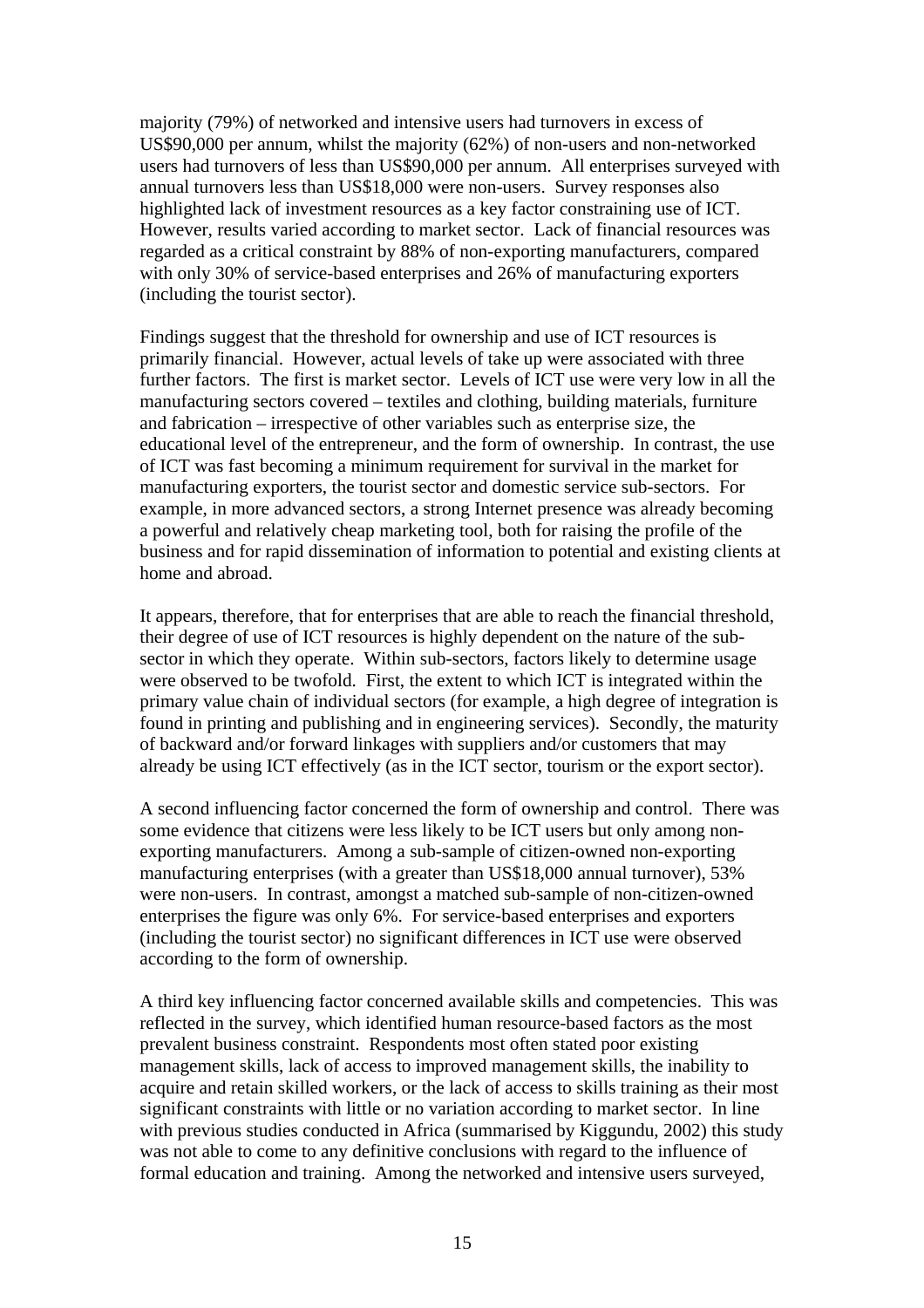majority (79%) of networked and intensive users had turnovers in excess of US\$90,000 per annum, whilst the majority (62%) of non-users and non-networked users had turnovers of less than US\$90,000 per annum. All enterprises surveyed with annual turnovers less than US\$18,000 were non-users. Survey responses also highlighted lack of investment resources as a key factor constraining use of ICT. However, results varied according to market sector. Lack of financial resources was regarded as a critical constraint by 88% of non-exporting manufacturers, compared with only 30% of service-based enterprises and 26% of manufacturing exporters (including the tourist sector).

Findings suggest that the threshold for ownership and use of ICT resources is primarily financial. However, actual levels of take up were associated with three further factors. The first is market sector. Levels of ICT use were very low in all the manufacturing sectors covered – textiles and clothing, building materials, furniture and fabrication – irrespective of other variables such as enterprise size, the educational level of the entrepreneur, and the form of ownership. In contrast, the use of ICT was fast becoming a minimum requirement for survival in the market for manufacturing exporters, the tourist sector and domestic service sub-sectors. For example, in more advanced sectors, a strong Internet presence was already becoming a powerful and relatively cheap marketing tool, both for raising the profile of the business and for rapid dissemination of information to potential and existing clients at home and abroad.

It appears, therefore, that for enterprises that are able to reach the financial threshold, their degree of use of ICT resources is highly dependent on the nature of the subsector in which they operate. Within sub-sectors, factors likely to determine usage were observed to be twofold. First, the extent to which ICT is integrated within the primary value chain of individual sectors (for example, a high degree of integration is found in printing and publishing and in engineering services). Secondly, the maturity of backward and/or forward linkages with suppliers and/or customers that may already be using ICT effectively (as in the ICT sector, tourism or the export sector).

A second influencing factor concerned the form of ownership and control. There was some evidence that citizens were less likely to be ICT users but only among nonexporting manufacturers. Among a sub-sample of citizen-owned non-exporting manufacturing enterprises (with a greater than US\$18,000 annual turnover), 53% were non-users. In contrast, amongst a matched sub-sample of non-citizen-owned enterprises the figure was only 6%. For service-based enterprises and exporters (including the tourist sector) no significant differences in ICT use were observed according to the form of ownership.

A third key influencing factor concerned available skills and competencies. This was reflected in the survey, which identified human resource-based factors as the most prevalent business constraint. Respondents most often stated poor existing management skills, lack of access to improved management skills, the inability to acquire and retain skilled workers, or the lack of access to skills training as their most significant constraints with little or no variation according to market sector. In line with previous studies conducted in Africa (summarised by Kiggundu, 2002) this study was not able to come to any definitive conclusions with regard to the influence of formal education and training. Among the networked and intensive users surveyed,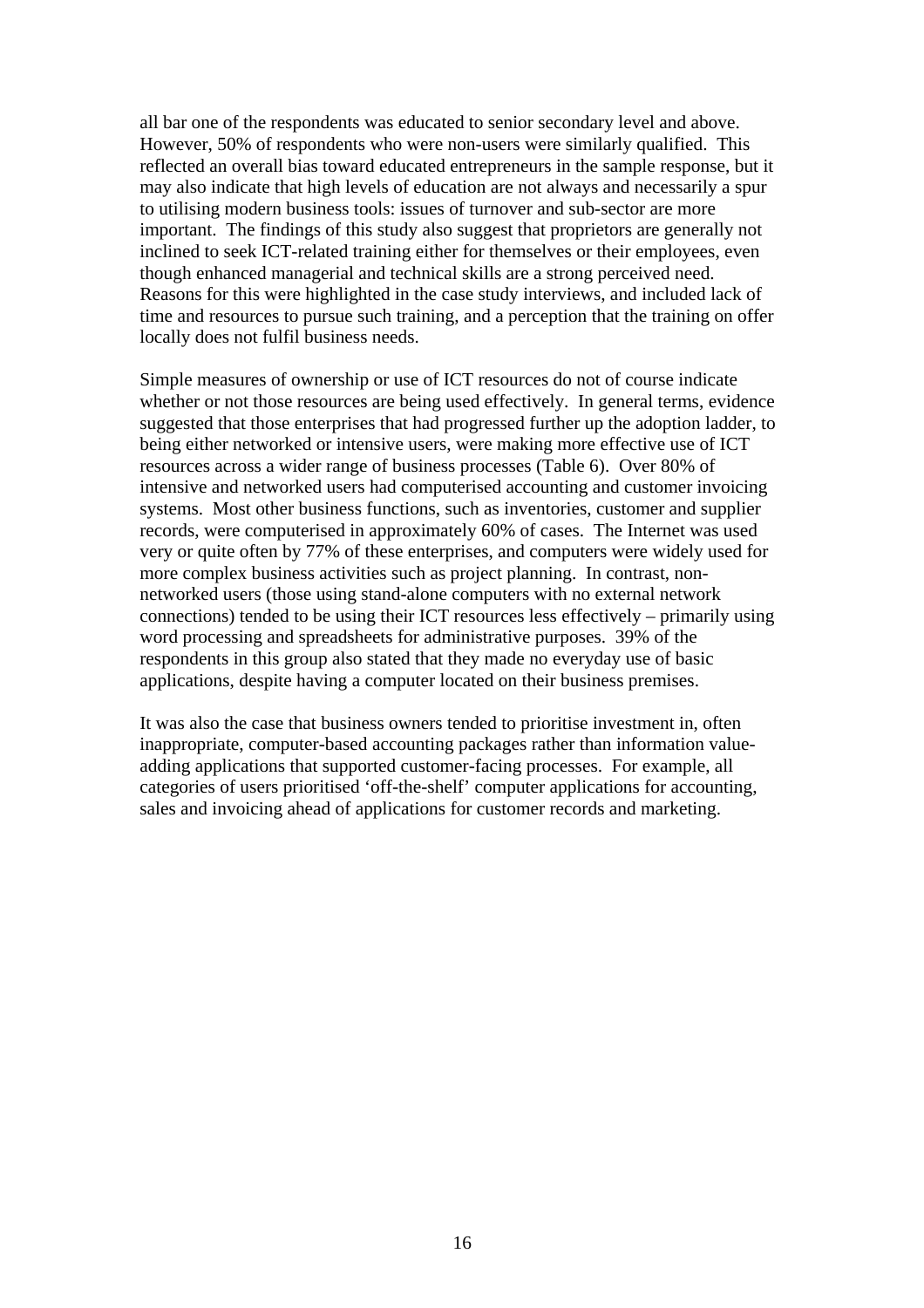all bar one of the respondents was educated to senior secondary level and above. However, 50% of respondents who were non-users were similarly qualified. This reflected an overall bias toward educated entrepreneurs in the sample response, but it may also indicate that high levels of education are not always and necessarily a spur to utilising modern business tools: issues of turnover and sub-sector are more important. The findings of this study also suggest that proprietors are generally not inclined to seek ICT-related training either for themselves or their employees, even though enhanced managerial and technical skills are a strong perceived need. Reasons for this were highlighted in the case study interviews, and included lack of time and resources to pursue such training, and a perception that the training on offer locally does not fulfil business needs.

Simple measures of ownership or use of ICT resources do not of course indicate whether or not those resources are being used effectively. In general terms, evidence suggested that those enterprises that had progressed further up the adoption ladder, to being either networked or intensive users, were making more effective use of ICT resources across a wider range of business processes (Table 6). Over 80% of intensive and networked users had computerised accounting and customer invoicing systems. Most other business functions, such as inventories, customer and supplier records, were computerised in approximately 60% of cases. The Internet was used very or quite often by 77% of these enterprises, and computers were widely used for more complex business activities such as project planning. In contrast, nonnetworked users (those using stand-alone computers with no external network connections) tended to be using their ICT resources less effectively – primarily using word processing and spreadsheets for administrative purposes. 39% of the respondents in this group also stated that they made no everyday use of basic applications, despite having a computer located on their business premises.

It was also the case that business owners tended to prioritise investment in, often inappropriate, computer-based accounting packages rather than information valueadding applications that supported customer-facing processes. For example, all categories of users prioritised 'off-the-shelf' computer applications for accounting, sales and invoicing ahead of applications for customer records and marketing.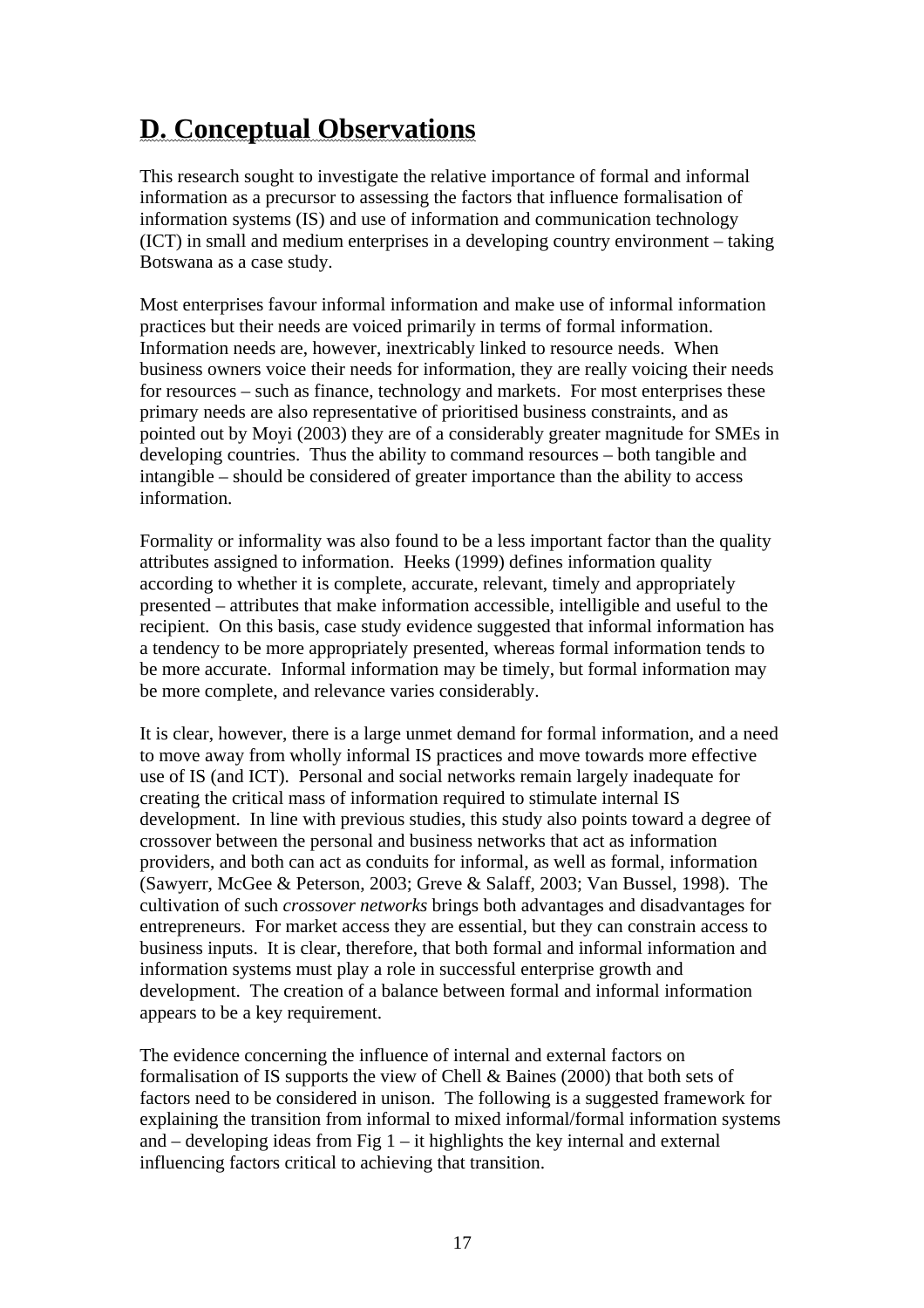# **D. Conceptual Observations**

This research sought to investigate the relative importance of formal and informal information as a precursor to assessing the factors that influence formalisation of information systems (IS) and use of information and communication technology (ICT) in small and medium enterprises in a developing country environment – taking Botswana as a case study.

Most enterprises favour informal information and make use of informal information practices but their needs are voiced primarily in terms of formal information. Information needs are, however, inextricably linked to resource needs. When business owners voice their needs for information, they are really voicing their needs for resources – such as finance, technology and markets. For most enterprises these primary needs are also representative of prioritised business constraints, and as pointed out by Moyi (2003) they are of a considerably greater magnitude for SMEs in developing countries. Thus the ability to command resources – both tangible and intangible – should be considered of greater importance than the ability to access information.

Formality or informality was also found to be a less important factor than the quality attributes assigned to information. Heeks (1999) defines information quality according to whether it is complete, accurate, relevant, timely and appropriately presented – attributes that make information accessible, intelligible and useful to the recipient. On this basis, case study evidence suggested that informal information has a tendency to be more appropriately presented, whereas formal information tends to be more accurate. Informal information may be timely, but formal information may be more complete, and relevance varies considerably.

It is clear, however, there is a large unmet demand for formal information, and a need to move away from wholly informal IS practices and move towards more effective use of IS (and ICT). Personal and social networks remain largely inadequate for creating the critical mass of information required to stimulate internal IS development. In line with previous studies, this study also points toward a degree of crossover between the personal and business networks that act as information providers, and both can act as conduits for informal, as well as formal, information (Sawyerr, McGee & Peterson, 2003; Greve & Salaff, 2003; Van Bussel, 1998). The cultivation of such *crossover networks* brings both advantages and disadvantages for entrepreneurs. For market access they are essential, but they can constrain access to business inputs. It is clear, therefore, that both formal and informal information and information systems must play a role in successful enterprise growth and development. The creation of a balance between formal and informal information appears to be a key requirement.

The evidence concerning the influence of internal and external factors on formalisation of IS supports the view of Chell & Baines (2000) that both sets of factors need to be considered in unison. The following is a suggested framework for explaining the transition from informal to mixed informal/formal information systems and  $-$  developing ideas from Fig  $1 -$  it highlights the key internal and external influencing factors critical to achieving that transition.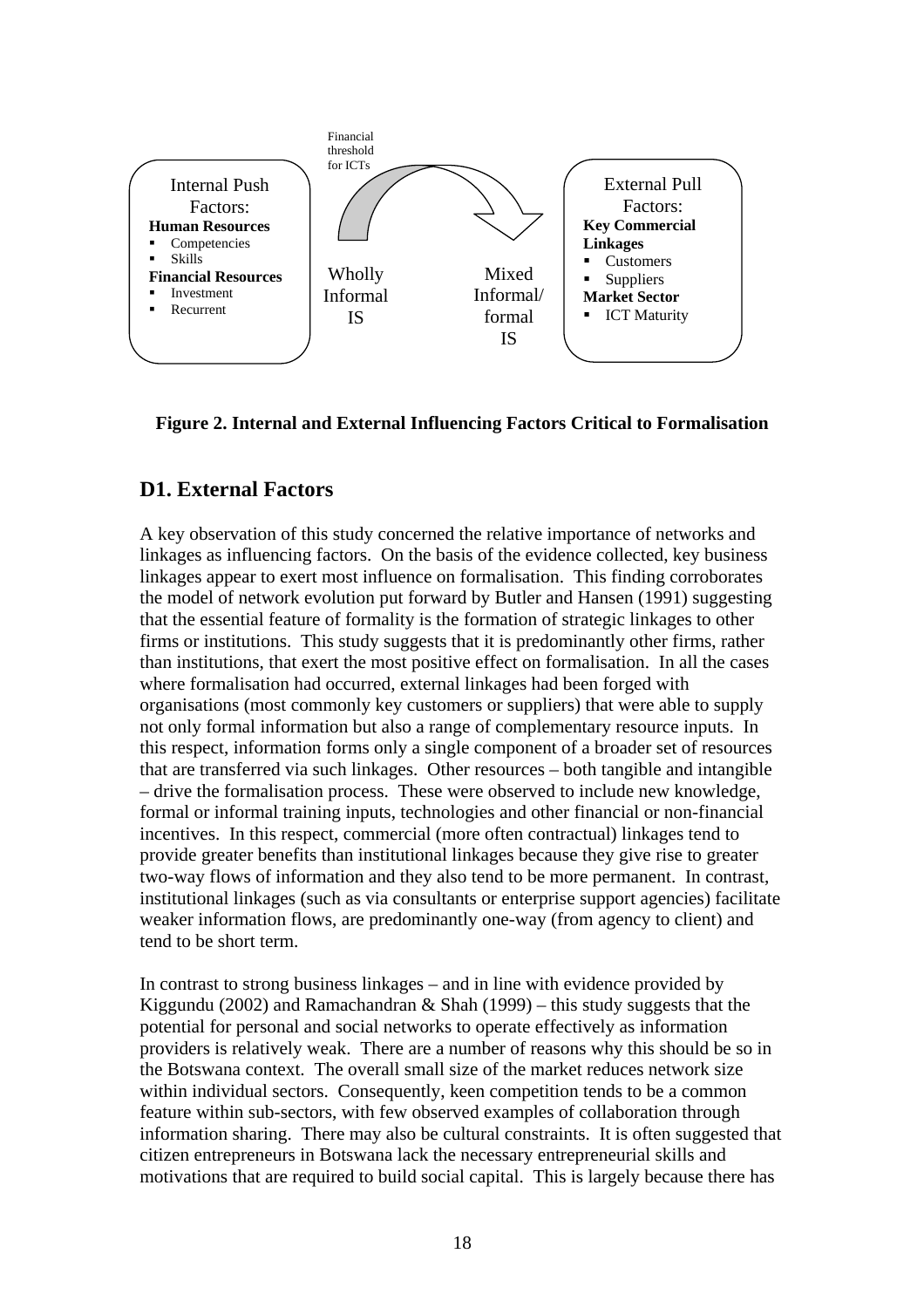

**Figure 2. Internal and External Influencing Factors Critical to Formalisation** 

#### **D1. External Factors**

A key observation of this study concerned the relative importance of networks and linkages as influencing factors. On the basis of the evidence collected, key business linkages appear to exert most influence on formalisation. This finding corroborates the model of network evolution put forward by Butler and Hansen (1991) suggesting that the essential feature of formality is the formation of strategic linkages to other firms or institutions. This study suggests that it is predominantly other firms, rather than institutions, that exert the most positive effect on formalisation. In all the cases where formalisation had occurred, external linkages had been forged with organisations (most commonly key customers or suppliers) that were able to supply not only formal information but also a range of complementary resource inputs. In this respect, information forms only a single component of a broader set of resources that are transferred via such linkages. Other resources – both tangible and intangible – drive the formalisation process. These were observed to include new knowledge, formal or informal training inputs, technologies and other financial or non-financial incentives. In this respect, commercial (more often contractual) linkages tend to provide greater benefits than institutional linkages because they give rise to greater two-way flows of information and they also tend to be more permanent. In contrast, institutional linkages (such as via consultants or enterprise support agencies) facilitate weaker information flows, are predominantly one-way (from agency to client) and tend to be short term.

In contrast to strong business linkages – and in line with evidence provided by Kiggundu (2002) and Ramachandran  $\&$  Shah (1999) – this study suggests that the potential for personal and social networks to operate effectively as information providers is relatively weak. There are a number of reasons why this should be so in the Botswana context. The overall small size of the market reduces network size within individual sectors. Consequently, keen competition tends to be a common feature within sub-sectors, with few observed examples of collaboration through information sharing. There may also be cultural constraints. It is often suggested that citizen entrepreneurs in Botswana lack the necessary entrepreneurial skills and motivations that are required to build social capital. This is largely because there has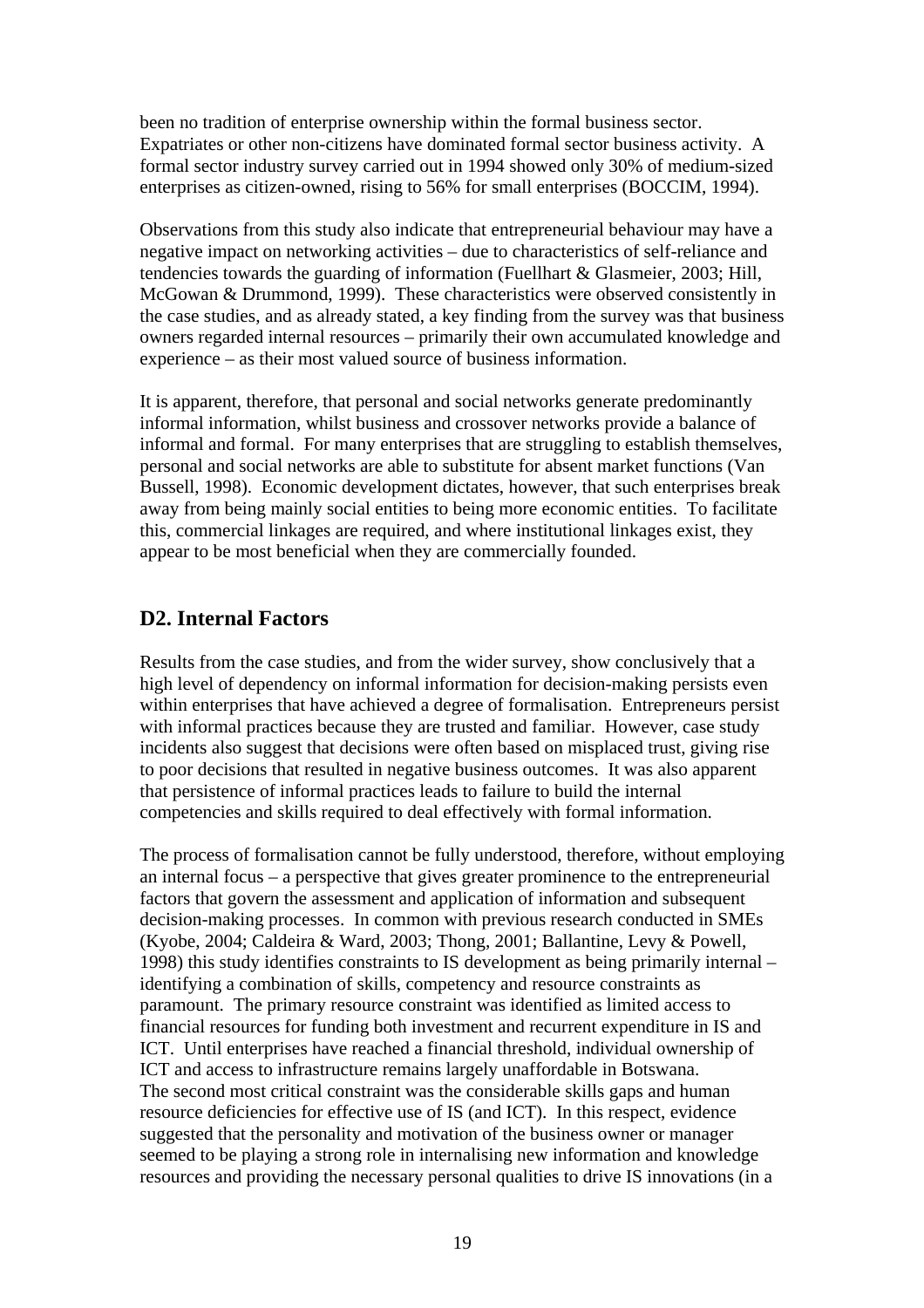been no tradition of enterprise ownership within the formal business sector. Expatriates or other non-citizens have dominated formal sector business activity. A formal sector industry survey carried out in 1994 showed only 30% of medium-sized enterprises as citizen-owned, rising to 56% for small enterprises (BOCCIM, 1994).

Observations from this study also indicate that entrepreneurial behaviour may have a negative impact on networking activities – due to characteristics of self-reliance and tendencies towards the guarding of information (Fuellhart & Glasmeier, 2003; Hill, McGowan & Drummond, 1999). These characteristics were observed consistently in the case studies, and as already stated, a key finding from the survey was that business owners regarded internal resources – primarily their own accumulated knowledge and experience – as their most valued source of business information.

It is apparent, therefore, that personal and social networks generate predominantly informal information, whilst business and crossover networks provide a balance of informal and formal. For many enterprises that are struggling to establish themselves, personal and social networks are able to substitute for absent market functions (Van Bussell, 1998). Economic development dictates, however, that such enterprises break away from being mainly social entities to being more economic entities. To facilitate this, commercial linkages are required, and where institutional linkages exist, they appear to be most beneficial when they are commercially founded.

#### **D2. Internal Factors**

Results from the case studies, and from the wider survey, show conclusively that a high level of dependency on informal information for decision-making persists even within enterprises that have achieved a degree of formalisation. Entrepreneurs persist with informal practices because they are trusted and familiar. However, case study incidents also suggest that decisions were often based on misplaced trust, giving rise to poor decisions that resulted in negative business outcomes. It was also apparent that persistence of informal practices leads to failure to build the internal competencies and skills required to deal effectively with formal information.

The process of formalisation cannot be fully understood, therefore, without employing an internal focus – a perspective that gives greater prominence to the entrepreneurial factors that govern the assessment and application of information and subsequent decision-making processes. In common with previous research conducted in SMEs (Kyobe, 2004; Caldeira & Ward, 2003; Thong, 2001; Ballantine, Levy & Powell, 1998) this study identifies constraints to IS development as being primarily internal – identifying a combination of skills, competency and resource constraints as paramount. The primary resource constraint was identified as limited access to financial resources for funding both investment and recurrent expenditure in IS and ICT. Until enterprises have reached a financial threshold, individual ownership of ICT and access to infrastructure remains largely unaffordable in Botswana. The second most critical constraint was the considerable skills gaps and human resource deficiencies for effective use of IS (and ICT). In this respect, evidence suggested that the personality and motivation of the business owner or manager seemed to be playing a strong role in internalising new information and knowledge resources and providing the necessary personal qualities to drive IS innovations (in a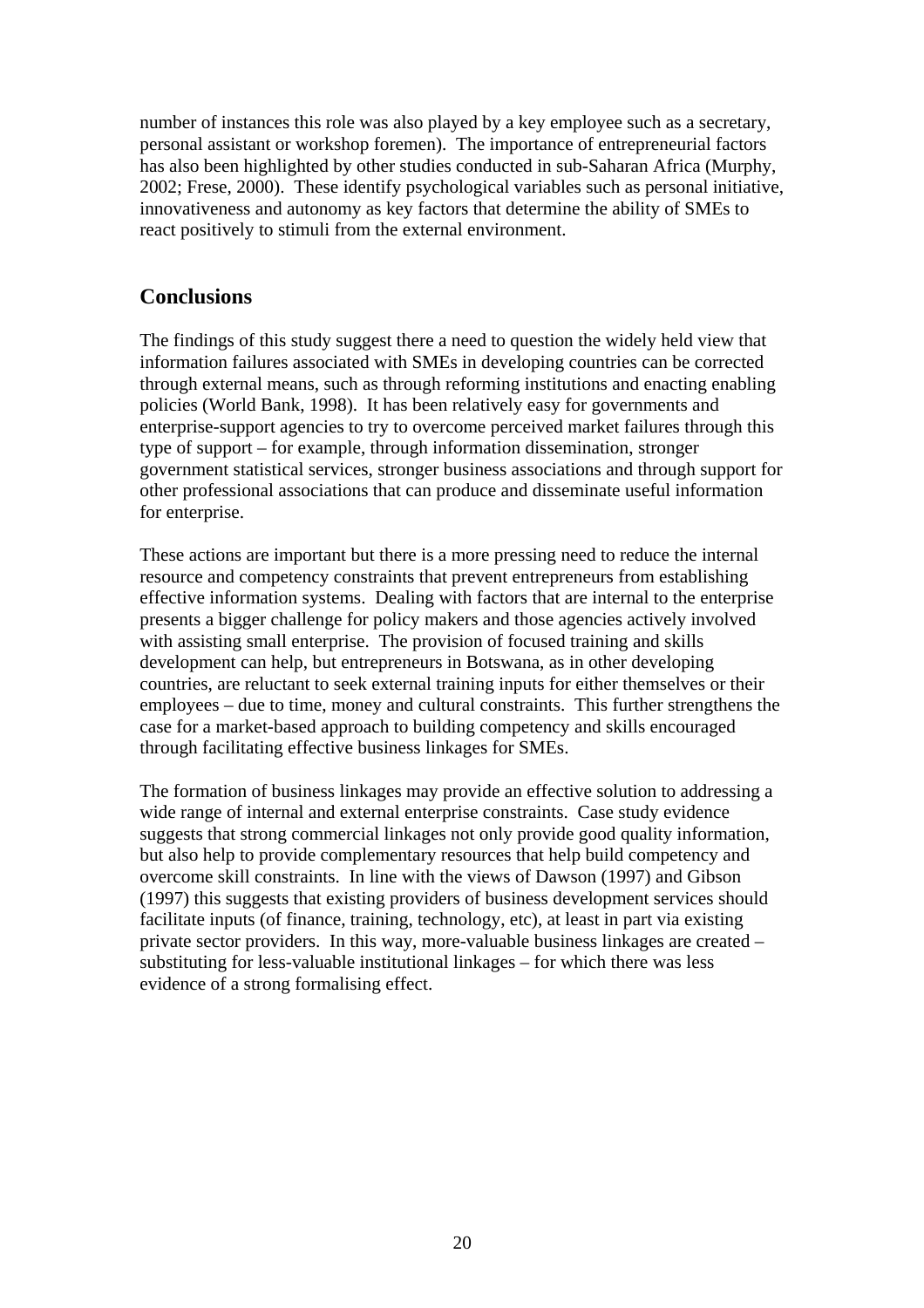number of instances this role was also played by a key employee such as a secretary, personal assistant or workshop foremen). The importance of entrepreneurial factors has also been highlighted by other studies conducted in sub-Saharan Africa (Murphy, 2002; Frese, 2000). These identify psychological variables such as personal initiative, innovativeness and autonomy as key factors that determine the ability of SMEs to react positively to stimuli from the external environment.

#### **Conclusions**

The findings of this study suggest there a need to question the widely held view that information failures associated with SMEs in developing countries can be corrected through external means, such as through reforming institutions and enacting enabling policies (World Bank, 1998). It has been relatively easy for governments and enterprise-support agencies to try to overcome perceived market failures through this type of support – for example, through information dissemination, stronger government statistical services, stronger business associations and through support for other professional associations that can produce and disseminate useful information for enterprise.

These actions are important but there is a more pressing need to reduce the internal resource and competency constraints that prevent entrepreneurs from establishing effective information systems. Dealing with factors that are internal to the enterprise presents a bigger challenge for policy makers and those agencies actively involved with assisting small enterprise. The provision of focused training and skills development can help, but entrepreneurs in Botswana, as in other developing countries, are reluctant to seek external training inputs for either themselves or their employees – due to time, money and cultural constraints. This further strengthens the case for a market-based approach to building competency and skills encouraged through facilitating effective business linkages for SMEs.

The formation of business linkages may provide an effective solution to addressing a wide range of internal and external enterprise constraints. Case study evidence suggests that strong commercial linkages not only provide good quality information, but also help to provide complementary resources that help build competency and overcome skill constraints. In line with the views of Dawson (1997) and Gibson (1997) this suggests that existing providers of business development services should facilitate inputs (of finance, training, technology, etc), at least in part via existing private sector providers. In this way, more-valuable business linkages are created – substituting for less-valuable institutional linkages – for which there was less evidence of a strong formalising effect.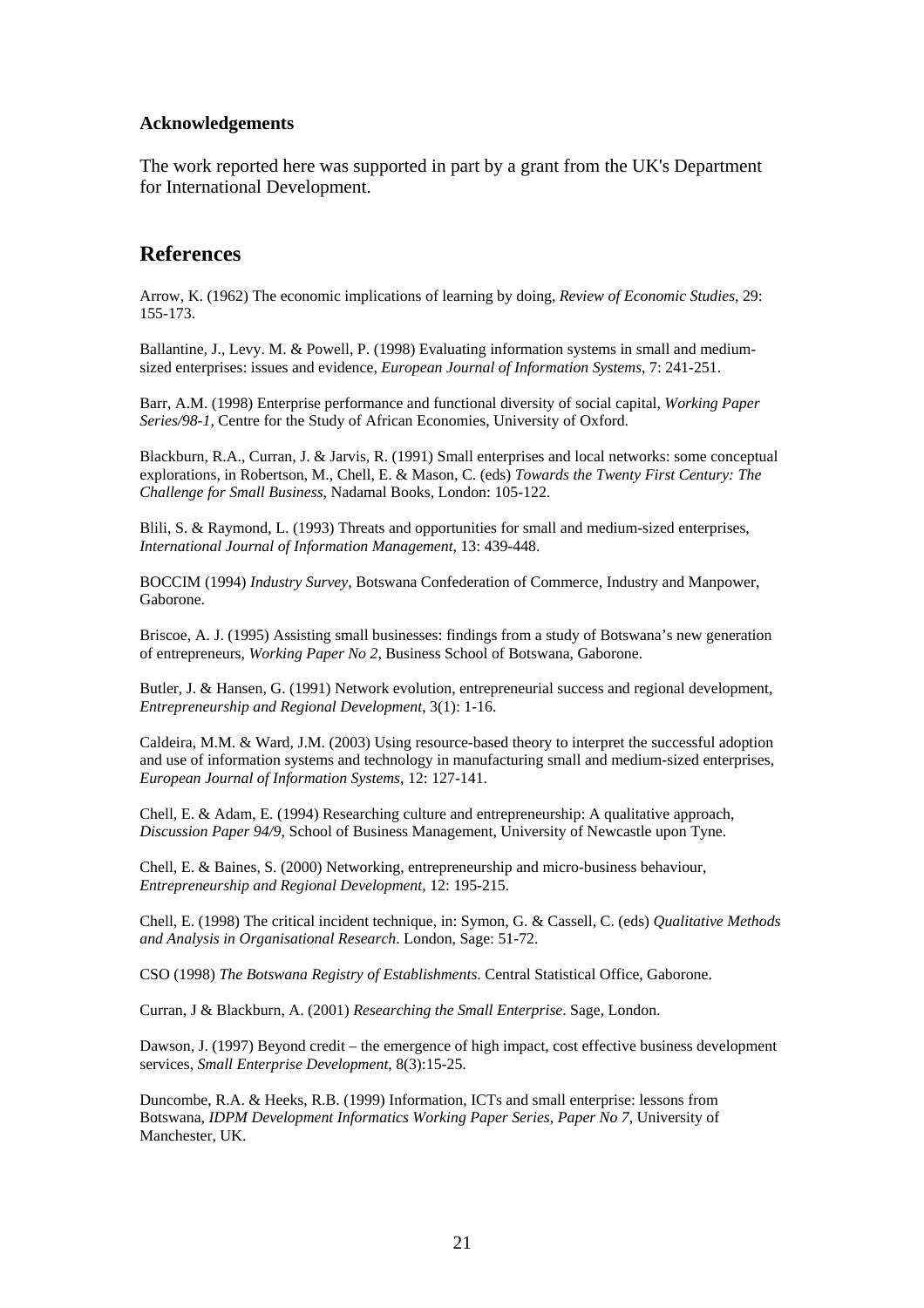#### **Acknowledgements**

The work reported here was supported in part by a grant from the UK's Department for International Development.

#### **References**

Arrow, K. (1962) The economic implications of learning by doing, *Review of Economic Studies*, 29: 155-173.

Ballantine, J., Levy. M. & Powell, P. (1998) Evaluating information systems in small and mediumsized enterprises: issues and evidence, *European Journal of Information Systems*, 7: 241-251.

Barr, A.M. (1998) Enterprise performance and functional diversity of social capital, *Working Paper Series/98-1*, Centre for the Study of African Economies, University of Oxford.

Blackburn, R.A., Curran, J. & Jarvis, R. (1991) Small enterprises and local networks: some conceptual explorations, in Robertson, M., Chell, E. & Mason, C. (eds) *Towards the Twenty First Century: The Challenge for Small Business*, Nadamal Books, London: 105-122.

Blili, S. & Raymond, L. (1993) Threats and opportunities for small and medium-sized enterprises, *International Journal of Information Management*, 13: 439-448.

BOCCIM (1994) *Industry Survey*, Botswana Confederation of Commerce, Industry and Manpower, Gaborone.

Briscoe, A. J. (1995) Assisting small businesses: findings from a study of Botswana's new generation of entrepreneurs, *Working Paper No 2*, Business School of Botswana, Gaborone.

Butler, J. & Hansen, G. (1991) Network evolution, entrepreneurial success and regional development, *Entrepreneurship and Regional Development*, 3(1): 1-16.

Caldeira, M.M. & Ward, J.M. (2003) Using resource-based theory to interpret the successful adoption and use of information systems and technology in manufacturing small and medium-sized enterprises, *European Journal of Information Systems*, 12: 127-141.

Chell, E. & Adam, E. (1994) Researching culture and entrepreneurship: A qualitative approach, *Discussion Paper 94/9*, School of Business Management, University of Newcastle upon Tyne.

Chell, E. & Baines, S. (2000) Networking, entrepreneurship and micro-business behaviour, *Entrepreneurship and Regional Development,* 12: 195-215.

Chell, E. (1998) The critical incident technique, in: Symon, G. & Cassell, C. (eds) *Qualitative Methods and Analysis in Organisational Research*. London, Sage: 51-72.

CSO (1998) *The Botswana Registry of Establishments*. Central Statistical Office, Gaborone.

Curran, J & Blackburn, A. (2001) *Researching the Small Enterprise*. Sage, London.

Dawson, J. (1997) Beyond credit – the emergence of high impact, cost effective business development services, *Small Enterprise Development*, 8(3):15-25.

Duncombe, R.A. & Heeks, R.B. (1999) Information, ICTs and small enterprise: lessons from Botswana, *IDPM Development Informatics Working Paper Series, Paper No 7*, University of Manchester, UK.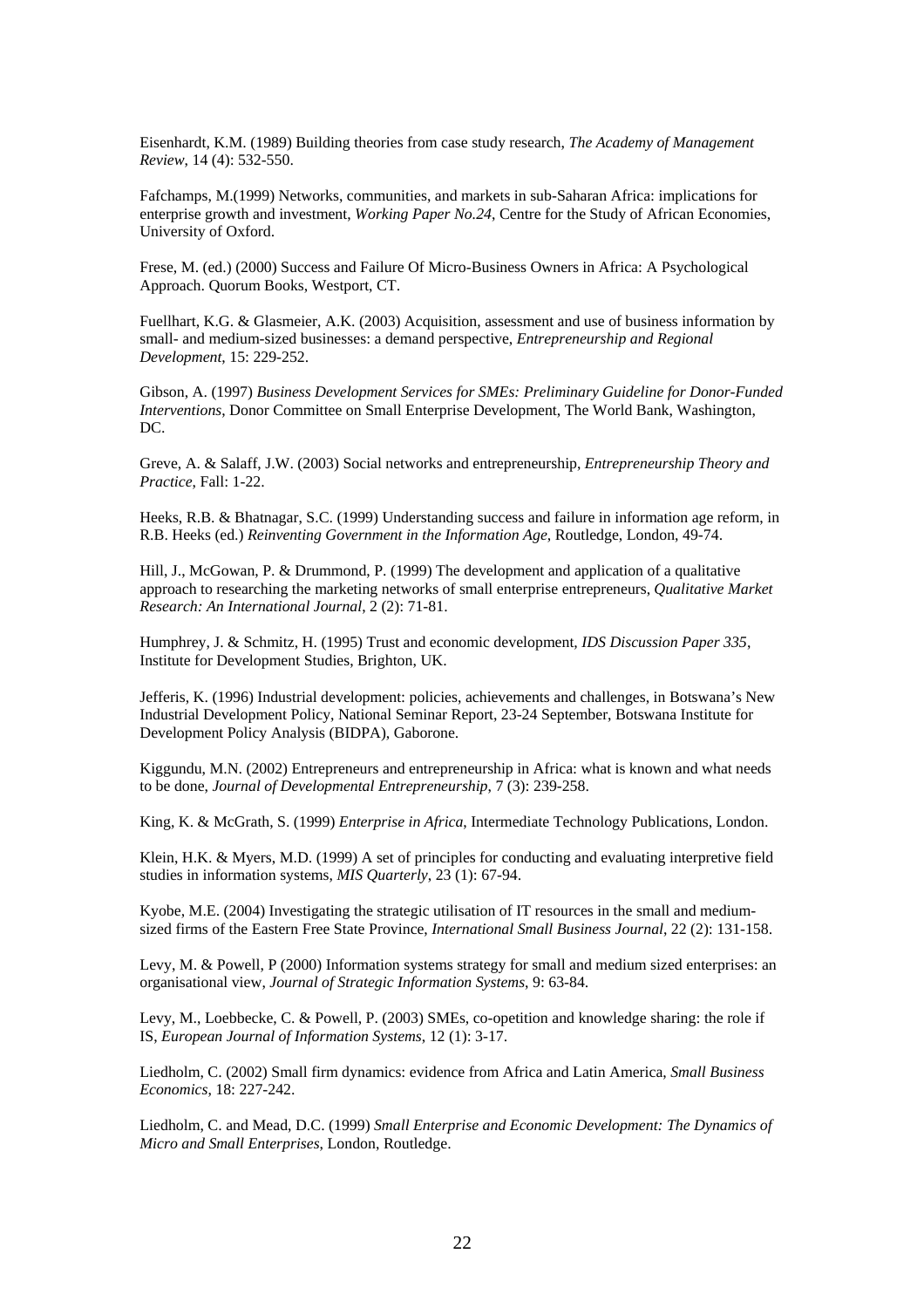Eisenhardt, K.M. (1989) Building theories from case study research, *The Academy of Management Review*, 14 (4): 532-550.

Fafchamps, M.(1999) Networks, communities, and markets in sub-Saharan Africa: implications for enterprise growth and investment, *Working Paper No.24*, Centre for the Study of African Economies, University of Oxford.

Frese, M. (ed.) (2000) Success and Failure Of Micro-Business Owners in Africa: A Psychological Approach. Quorum Books, Westport, CT.

Fuellhart, K.G. & Glasmeier, A.K. (2003) Acquisition, assessment and use of business information by small- and medium-sized businesses: a demand perspective, *Entrepreneurship and Regional Development*, 15: 229-252.

Gibson, A. (1997) *Business Development Services for SMEs: Preliminary Guideline for Donor-Funded Interventions*, Donor Committee on Small Enterprise Development, The World Bank, Washington, DC.

Greve, A. & Salaff, J.W. (2003) Social networks and entrepreneurship, *Entrepreneurship Theory and Practice*, Fall: 1-22.

Heeks, R.B. & Bhatnagar, S.C. (1999) Understanding success and failure in information age reform, in R.B. Heeks (ed.) *Reinventing Government in the Information Age*, Routledge, London, 49-74.

Hill, J., McGowan, P. & Drummond, P. (1999) The development and application of a qualitative approach to researching the marketing networks of small enterprise entrepreneurs, *Qualitative Market Research: An International Journal*, 2 (2): 71-81.

Humphrey, J. & Schmitz, H. (1995) Trust and economic development*, IDS Discussion Paper 335*, Institute for Development Studies, Brighton, UK.

Jefferis, K. (1996) Industrial development: policies, achievements and challenges, in Botswana's New Industrial Development Policy, National Seminar Report, 23-24 September, Botswana Institute for Development Policy Analysis (BIDPA), Gaborone.

Kiggundu, M.N. (2002) Entrepreneurs and entrepreneurship in Africa: what is known and what needs to be done, *Journal of Developmental Entrepreneurship*, 7 (3): 239-258.

King, K. & McGrath, S. (1999) *Enterprise in Africa*, Intermediate Technology Publications, London.

Klein, H.K. & Myers, M.D. (1999) A set of principles for conducting and evaluating interpretive field studies in information systems, *MIS Quarterly*, 23 (1): 67-94.

Kyobe, M.E. (2004) Investigating the strategic utilisation of IT resources in the small and mediumsized firms of the Eastern Free State Province, *International Small Business Journal*, 22 (2): 131-158.

Levy, M. & Powell, P (2000) Information systems strategy for small and medium sized enterprises: an organisational view, *Journal of Strategic Information Systems*, 9: 63-84.

Levy, M., Loebbecke, C. & Powell, P. (2003) SMEs, co-opetition and knowledge sharing: the role if IS, *European Journal of Information Systems*, 12 (1): 3-17.

Liedholm, C. (2002) Small firm dynamics: evidence from Africa and Latin America, *Small Business Economics*, 18: 227-242.

Liedholm, C. and Mead, D.C. (1999) *Small Enterprise and Economic Development: The Dynamics of Micro and Small Enterprises*, London, Routledge.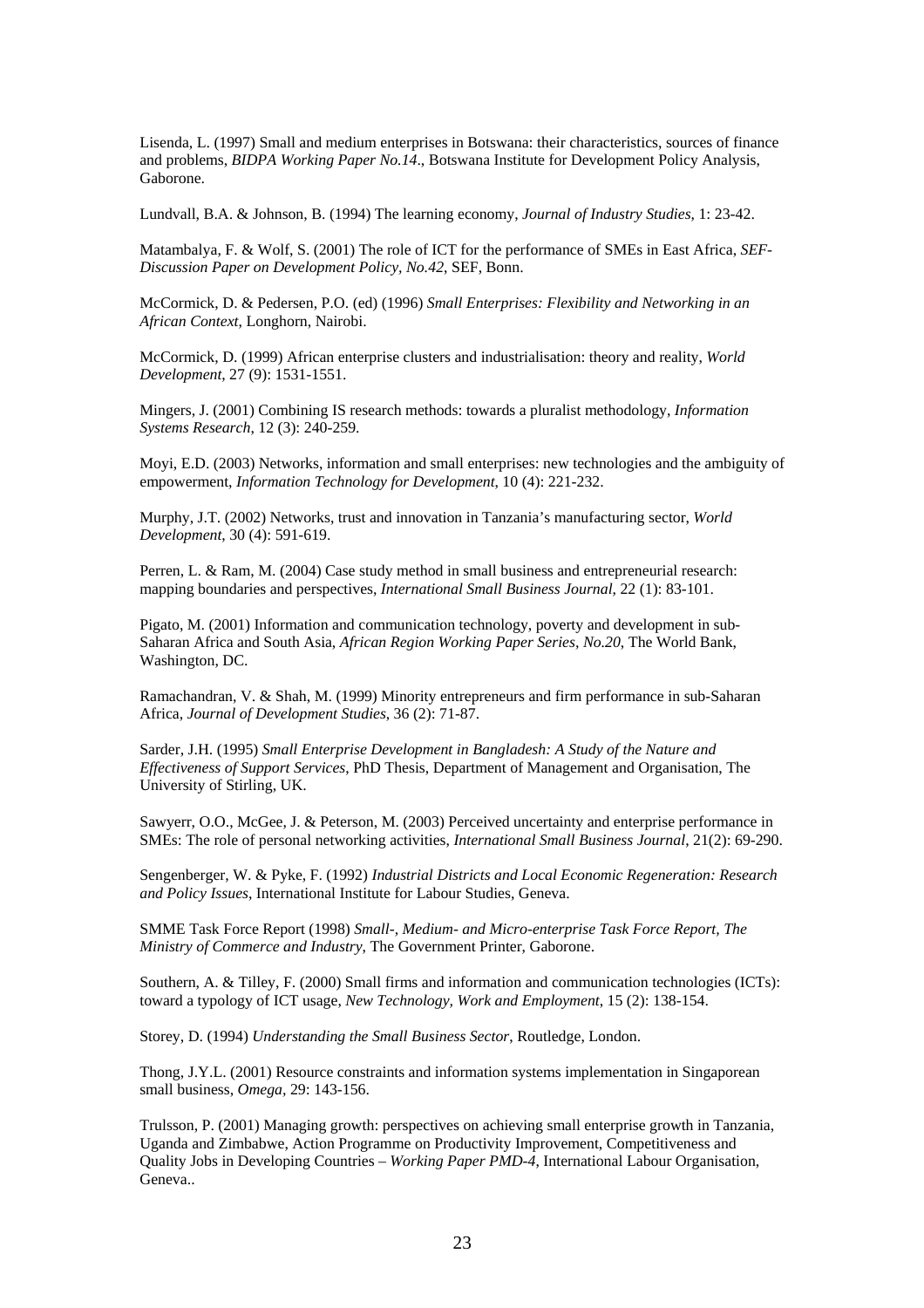Lisenda, L. (1997) Small and medium enterprises in Botswana: their characteristics, sources of finance and problems, *BIDPA Working Paper No.14*., Botswana Institute for Development Policy Analysis, Gaborone.

Lundvall, B.A. & Johnson, B. (1994) The learning economy, *Journal of Industry Studies*, 1: 23-42.

Matambalya, F. & Wolf, S. (2001) The role of ICT for the performance of SMEs in East Africa, *SEF-Discussion Paper on Development Policy, No.42*, SEF, Bonn.

McCormick, D. & Pedersen, P.O. (ed) (1996) *Small Enterprises: Flexibility and Networking in an African Context*, Longhorn, Nairobi.

McCormick, D. (1999) African enterprise clusters and industrialisation: theory and reality, *World Development*, 27 (9): 1531-1551.

Mingers, J. (2001) Combining IS research methods: towards a pluralist methodology, *Information Systems Research*, 12 (3): 240-259.

Moyi, E.D. (2003) Networks, information and small enterprises: new technologies and the ambiguity of empowerment, *Information Technology for Development*, 10 (4): 221-232.

Murphy, J.T. (2002) Networks, trust and innovation in Tanzania's manufacturing sector, *World Development*, 30 (4): 591-619.

Perren, L. & Ram, M. (2004) Case study method in small business and entrepreneurial research: mapping boundaries and perspectives, *International Small Business Journal*, 22 (1): 83-101.

Pigato, M. (2001) Information and communication technology, poverty and development in sub-Saharan Africa and South Asia, *African Region Working Paper Series, No.20*, The World Bank, Washington, DC.

Ramachandran, V. & Shah, M. (1999) Minority entrepreneurs and firm performance in sub-Saharan Africa, *Journal of Development Studies*, 36 (2): 71-87.

Sarder, J.H. (1995) *Small Enterprise Development in Bangladesh: A Study of the Nature and Effectiveness of Support Services*, PhD Thesis, Department of Management and Organisation, The University of Stirling, UK.

Sawyerr, O.O., McGee, J. & Peterson, M. (2003) Perceived uncertainty and enterprise performance in SMEs: The role of personal networking activities, *International Small Business Journal*, 21(2): 69-290.

Sengenberger, W. & Pyke, F. (1992) *Industrial Districts and Local Economic Regeneration: Research and Policy Issues*, International Institute for Labour Studies, Geneva.

SMME Task Force Report (1998) *Small-, Medium- and Micro-enterprise Task Force Report, The Ministry of Commerce and Industry*, The Government Printer, Gaborone.

Southern, A. & Tilley, F. (2000) Small firms and information and communication technologies (ICTs): toward a typology of ICT usage, *New Technology, Work and Employment*, 15 (2): 138-154.

Storey, D. (1994) *Understanding the Small Business Sector*, Routledge, London.

Thong, J.Y.L. (2001) Resource constraints and information systems implementation in Singaporean small business, *Omega,* 29: 143-156.

Trulsson, P. (2001) Managing growth: perspectives on achieving small enterprise growth in Tanzania, Uganda and Zimbabwe, Action Programme on Productivity Improvement, Competitiveness and Quality Jobs in Developing Countries – *Working Paper PMD-4*, International Labour Organisation, Geneva..